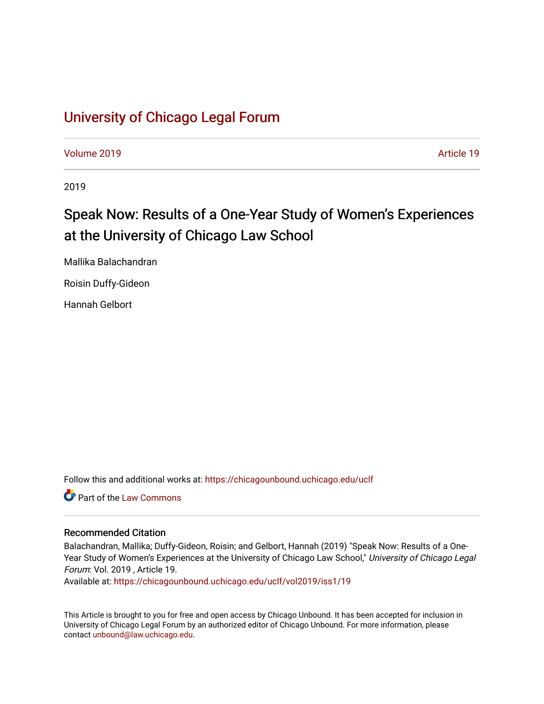## [University of Chicago Legal Forum](https://chicagounbound.uchicago.edu/uclf)

[Volume 2019](https://chicagounbound.uchicago.edu/uclf/vol2019) [Article 19](https://chicagounbound.uchicago.edu/uclf/vol2019/iss1/19) 

2019

# Speak Now: Results of a One-Year Study of Women's Experiences at the University of Chicago Law School

Mallika Balachandran Roisin Duffy-Gideon

Hannah Gelbort

Follow this and additional works at: [https://chicagounbound.uchicago.edu/uclf](https://chicagounbound.uchicago.edu/uclf?utm_source=chicagounbound.uchicago.edu%2Fuclf%2Fvol2019%2Fiss1%2F19&utm_medium=PDF&utm_campaign=PDFCoverPages) 

Part of the [Law Commons](http://network.bepress.com/hgg/discipline/578?utm_source=chicagounbound.uchicago.edu%2Fuclf%2Fvol2019%2Fiss1%2F19&utm_medium=PDF&utm_campaign=PDFCoverPages)

## Recommended Citation

Balachandran, Mallika; Duffy-Gideon, Roisin; and Gelbort, Hannah (2019) "Speak Now: Results of a One-Year Study of Women's Experiences at the University of Chicago Law School," University of Chicago Legal Forum: Vol. 2019 , Article 19.

Available at: [https://chicagounbound.uchicago.edu/uclf/vol2019/iss1/19](https://chicagounbound.uchicago.edu/uclf/vol2019/iss1/19?utm_source=chicagounbound.uchicago.edu%2Fuclf%2Fvol2019%2Fiss1%2F19&utm_medium=PDF&utm_campaign=PDFCoverPages)

This Article is brought to you for free and open access by Chicago Unbound. It has been accepted for inclusion in University of Chicago Legal Forum by an authorized editor of Chicago Unbound. For more information, please contact [unbound@law.uchicago.edu](mailto:unbound@law.uchicago.edu).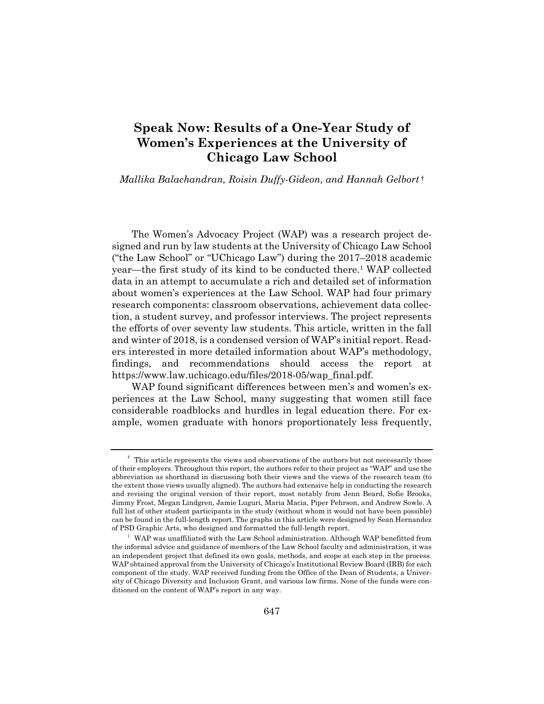## **Speak Now: Results of a One-Year Study of Women's Experiences at the University of Chicago Law School**

*Mallika Balachandran, Roisin Duffy-Gideon, and Hannah Gelbort* †

The Women's Advocacy Project (WAP) was a research project designed and run by law students at the University of Chicago Law School ("the Law School" or "UChicago Law") during the 2017–2018 academic year—the first study of its kind to be conducted there.1 WAP collected data in an attempt to accumulate a rich and detailed set of information about women's experiences at the Law School. WAP had four primary research components: classroom observations, achievement data collection, a student survey, and professor interviews. The project represents the efforts of over seventy law students. This article, written in the fall and winter of 2018, is a condensed version of WAP's initial report. Readers interested in more detailed information about WAP's methodology, findings, and recommendations should access the report at https://www.law.uchicago.edu/files/2018-05/wap\_final.pdf.

WAP found significant differences between men's and women's experiences at the Law School, many suggesting that women still face considerable roadblocks and hurdles in legal education there. For example, women graduate with honors proportionately less frequently,

<sup>&</sup>lt;sup>†</sup> This article represents the views and observations of the authors but not necessarily those of their employers. Throughout this report, the authors refer to their project as "WAP" and use the abbreviation as shorthand in discussing both their views and the views of the research team (to the extent those views usually aligned). The authors had extensive help in conducting the research and revising the original version of their report, most notably from Jenn Beard, Sofie Brooks, Jimmy Frost, Megan Lindgren, Jamie Luguri, Maria Macia, Piper Pehrson, and Andrew Sowle. A full list of other student participants in the study (without whom it would not have been possible) can be found in the full-length report. The graphs in this article were designed by Sean Hernandez of PSD Graphic Arts, who designed and formatted the full-length report. 1

 $1$  WAP was unaffiliated with the Law School administration. Although WAP benefitted from the informal advice and guidance of members of the Law School faculty and administration, it was an independent project that defined its own goals, methods, and scope at each step in the process. WAP obtained approval from the University of Chicago's Institutional Review Board (IRB) for each component of the study. WAP received funding from the Office of the Dean of Students, a University of Chicago Diversity and Inclusion Grant, and various law firms. None of the funds were conditioned on the content of WAP's report in any way.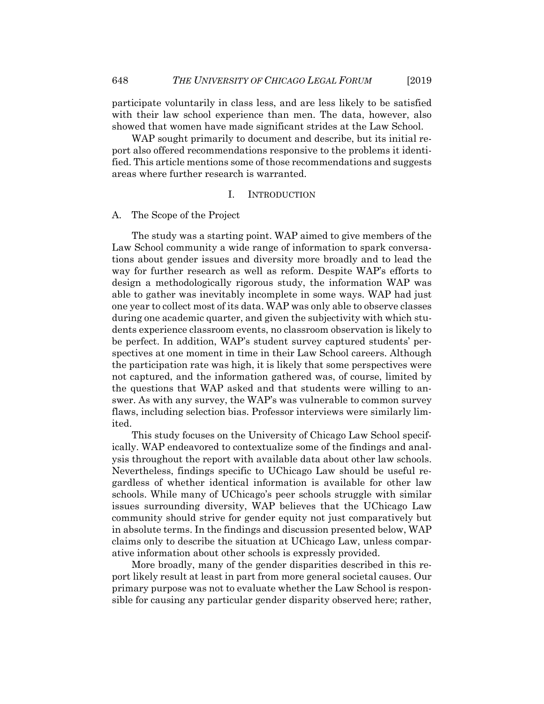participate voluntarily in class less, and are less likely to be satisfied with their law school experience than men. The data, however, also showed that women have made significant strides at the Law School.

WAP sought primarily to document and describe, but its initial report also offered recommendations responsive to the problems it identified. This article mentions some of those recommendations and suggests areas where further research is warranted.

#### I. INTRODUCTION

#### A. The Scope of the Project

The study was a starting point. WAP aimed to give members of the Law School community a wide range of information to spark conversations about gender issues and diversity more broadly and to lead the way for further research as well as reform. Despite WAP's efforts to design a methodologically rigorous study, the information WAP was able to gather was inevitably incomplete in some ways. WAP had just one year to collect most of its data. WAP was only able to observe classes during one academic quarter, and given the subjectivity with which students experience classroom events, no classroom observation is likely to be perfect. In addition, WAP's student survey captured students' perspectives at one moment in time in their Law School careers. Although the participation rate was high, it is likely that some perspectives were not captured, and the information gathered was, of course, limited by the questions that WAP asked and that students were willing to answer. As with any survey, the WAP's was vulnerable to common survey flaws, including selection bias. Professor interviews were similarly limited.

This study focuses on the University of Chicago Law School specifically. WAP endeavored to contextualize some of the findings and analysis throughout the report with available data about other law schools. Nevertheless, findings specific to UChicago Law should be useful regardless of whether identical information is available for other law schools. While many of UChicago's peer schools struggle with similar issues surrounding diversity, WAP believes that the UChicago Law community should strive for gender equity not just comparatively but in absolute terms. In the findings and discussion presented below, WAP claims only to describe the situation at UChicago Law, unless comparative information about other schools is expressly provided.

More broadly, many of the gender disparities described in this report likely result at least in part from more general societal causes. Our primary purpose was not to evaluate whether the Law School is responsible for causing any particular gender disparity observed here; rather,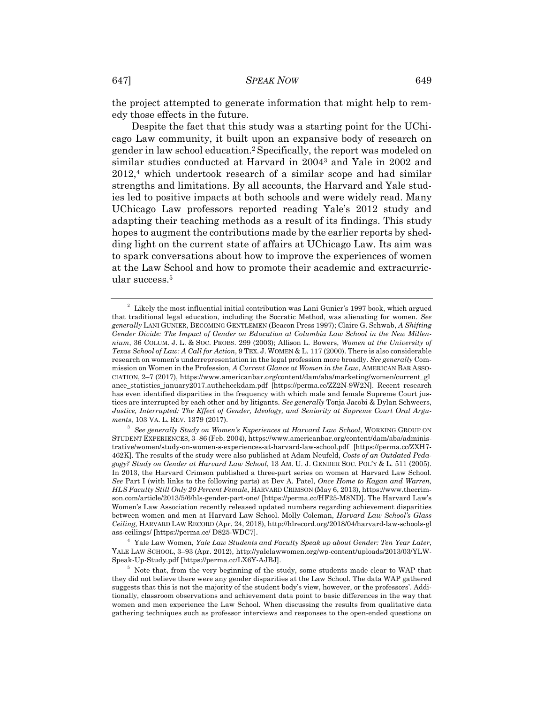the project attempted to generate information that might help to remedy those effects in the future.

Despite the fact that this study was a starting point for the UChicago Law community, it built upon an expansive body of research on gender in law school education.2 Specifically, the report was modeled on similar studies conducted at Harvard in 20043 and Yale in 2002 and  $2012<sup>4</sup>$  which undertook research of a similar scope and had similar strengths and limitations. By all accounts, the Harvard and Yale studies led to positive impacts at both schools and were widely read. Many UChicago Law professors reported reading Yale's 2012 study and adapting their teaching methods as a result of its findings. This study hopes to augment the contributions made by the earlier reports by shedding light on the current state of affairs at UChicago Law. Its aim was to spark conversations about how to improve the experiences of women at the Law School and how to promote their academic and extracurricular success.5

 $2$  Likely the most influential initial contribution was Lani Gunier's 1997 book, which argued that traditional legal education, including the Socratic Method, was alienating for women. *See generally* LANI GUNIER, BECOMING GENTLEMEN (Beacon Press 1997); Claire G. Schwab, *A Shifting Gender Divide: The Impact of Gender on Education at Columbia Law School in the New Millennium*, 36 COLUM. J. L. & SOC. PROBS. 299 (2003); Allison L. Bowers, *Women at the University of Texas School of Law: A Call for Action*, 9 TEX. J. WOMEN & L. 117 (2000). There is also considerable research on women's underrepresentation in the legal profession more broadly. *See generally* Commission on Women in the Profession, *A Current Glance at Women in the Law*, AMERICAN BAR ASSO-CIATION, 2–7 (2017), https://www.americanbar.org/content/dam/aba/marketing/women/current\_gl ance\_statistics\_january2017.authcheckdam.pdf [https://perma.cc/ZZ2N-9W2N]. Recent research has even identified disparities in the frequency with which male and female Supreme Court justices are interrupted by each other and by litigants. *See generally* Tonja Jacobi & Dylan Schweers, *Justice, Interrupted: The Effect of Gender, Ideology, and Seniority at Supreme Court Oral Arguments*, 103 VA. L. REV. 1379 (2017).

*See generally Study on Women's Experiences at Harvard Law School*, WORKING GROUP ON STUDENT EXPERIENCES, 3–86 (Feb. 2004), https://www.americanbar.org/content/dam/aba/administrative/women/study-on-women-s-experiences-at-harvard-law-school.pdf [https://perma.cc/ZXH7- 462K]. The results of the study were also published at Adam Neufeld, *Costs of an Outdated Pedagogy? Study on Gender at Harvard Law School*, 13 AM. U. J. GENDER SOC. POL'Y & L. 511 (2005). In 2013, the Harvard Crimson published a three-part series on women at Harvard Law School. *See* Part I (with links to the following parts) at Dev A. Patel, *Once Home to Kagan and Warren, HLS Faculty Still Only 20 Percent Female*, HARVARD CRIMSON (May 6, 2013), https://www.thecrimson.com/article/2013/5/6/hls-gender-part-one/ [https://perma.cc/HF25-M8ND]. The Harvard Law's Women's Law Association recently released updated numbers regarding achievement disparities between women and men at Harvard Law School. Molly Coleman, *Harvard Law School's Glass Ceiling,* HARVARD LAW RECORD (Apr. 24, 2018), http://hlrecord.org/2018/04/harvard-law-schools-gl ass-ceilings/ [https://perma.cc/ D825-WDC7]. 4

Yale Law Women, *Yale Law Students and Faculty Speak up about Gender: Ten Year Later*, YALE LAW SCHOOL, 3–93 (Apr. 2012), http://yalelawwomen.org/wp-content/uploads/2013/03/YLW-Speak-Up-Study.pdf [https://perma.cc/LX6Y-AJBJ]. 5

 $5$  Note that, from the very beginning of the study, some students made clear to WAP that they did not believe there were any gender disparities at the Law School. The data WAP gathered suggests that this is not the majority of the student body's view, however, or the professors'. Additionally, classroom observations and achievement data point to basic differences in the way that women and men experience the Law School. When discussing the results from qualitative data gathering techniques such as professor interviews and responses to the open-ended questions on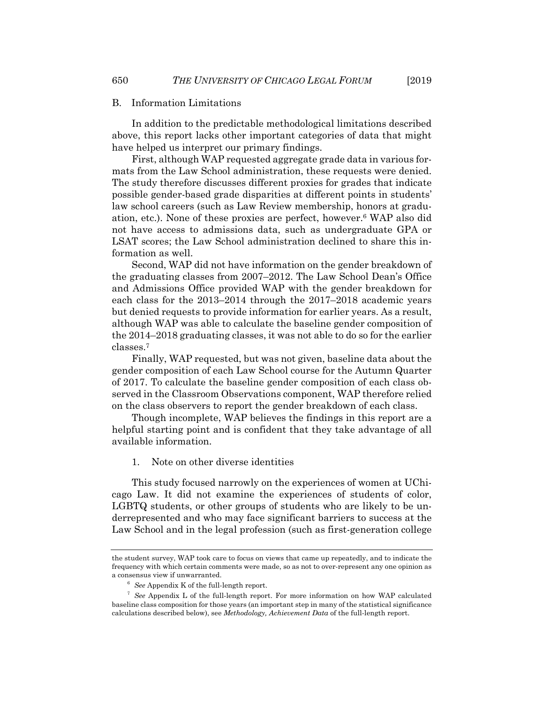#### B. Information Limitations

In addition to the predictable methodological limitations described above, this report lacks other important categories of data that might have helped us interpret our primary findings.

First, although WAP requested aggregate grade data in various formats from the Law School administration, these requests were denied. The study therefore discusses different proxies for grades that indicate possible gender-based grade disparities at different points in students' law school careers (such as Law Review membership, honors at graduation, etc.). None of these proxies are perfect, however.6 WAP also did not have access to admissions data, such as undergraduate GPA or LSAT scores; the Law School administration declined to share this information as well.

Second, WAP did not have information on the gender breakdown of the graduating classes from 2007–2012. The Law School Dean's Office and Admissions Office provided WAP with the gender breakdown for each class for the 2013–2014 through the 2017–2018 academic years but denied requests to provide information for earlier years. As a result, although WAP was able to calculate the baseline gender composition of the 2014–2018 graduating classes, it was not able to do so for the earlier classes.7

Finally, WAP requested, but was not given, baseline data about the gender composition of each Law School course for the Autumn Quarter of 2017. To calculate the baseline gender composition of each class observed in the Classroom Observations component, WAP therefore relied on the class observers to report the gender breakdown of each class.

Though incomplete, WAP believes the findings in this report are a helpful starting point and is confident that they take advantage of all available information.

#### 1. Note on other diverse identities

This study focused narrowly on the experiences of women at UChicago Law. It did not examine the experiences of students of color, LGBTQ students, or other groups of students who are likely to be underrepresented and who may face significant barriers to success at the Law School and in the legal profession (such as first-generation college

the student survey, WAP took care to focus on views that came up repeatedly, and to indicate the frequency with which certain comments were made, so as not to over-represent any one opinion as a consensus view if unwarranted. 6

<sup>&</sup>lt;sup>6</sup> See Appendix K of the full-length report.

 $\frac{7}{1}$  See Appendix L of the full-length report. For more information on how WAP calculated baseline class composition for those years (an important step in many of the statistical significance calculations described below), see *Methodology, Achievement Data* of the full-length report.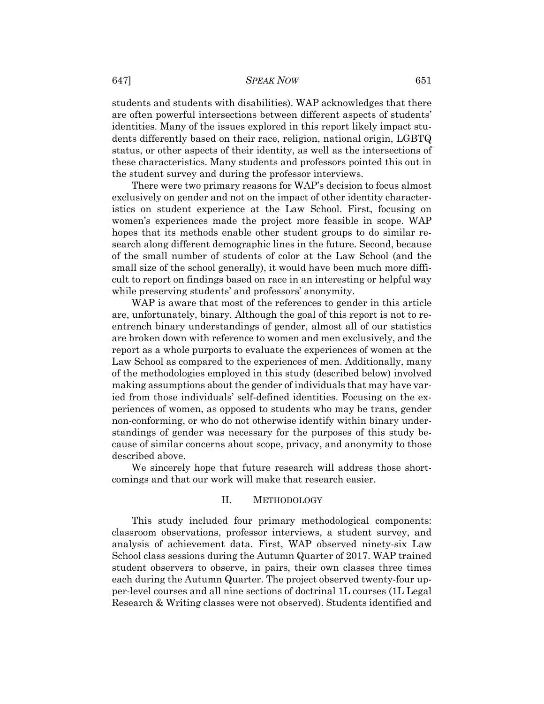## 647] *SPEAK NOW* 651

students and students with disabilities). WAP acknowledges that there are often powerful intersections between different aspects of students' identities. Many of the issues explored in this report likely impact students differently based on their race, religion, national origin, LGBTQ status, or other aspects of their identity, as well as the intersections of these characteristics. Many students and professors pointed this out in the student survey and during the professor interviews.

There were two primary reasons for WAP's decision to focus almost exclusively on gender and not on the impact of other identity characteristics on student experience at the Law School. First, focusing on women's experiences made the project more feasible in scope. WAP hopes that its methods enable other student groups to do similar research along different demographic lines in the future. Second, because of the small number of students of color at the Law School (and the small size of the school generally), it would have been much more difficult to report on findings based on race in an interesting or helpful way while preserving students' and professors' anonymity.

WAP is aware that most of the references to gender in this article are, unfortunately, binary. Although the goal of this report is not to reentrench binary understandings of gender, almost all of our statistics are broken down with reference to women and men exclusively, and the report as a whole purports to evaluate the experiences of women at the Law School as compared to the experiences of men. Additionally, many of the methodologies employed in this study (described below) involved making assumptions about the gender of individuals that may have varied from those individuals' self-defined identities. Focusing on the experiences of women, as opposed to students who may be trans, gender non-conforming, or who do not otherwise identify within binary understandings of gender was necessary for the purposes of this study because of similar concerns about scope, privacy, and anonymity to those described above.

We sincerely hope that future research will address those shortcomings and that our work will make that research easier.

#### II. METHODOLOGY

This study included four primary methodological components: classroom observations, professor interviews, a student survey, and analysis of achievement data. First, WAP observed ninety-six Law School class sessions during the Autumn Quarter of 2017. WAP trained student observers to observe, in pairs, their own classes three times each during the Autumn Quarter. The project observed twenty-four upper-level courses and all nine sections of doctrinal 1L courses (1L Legal Research & Writing classes were not observed). Students identified and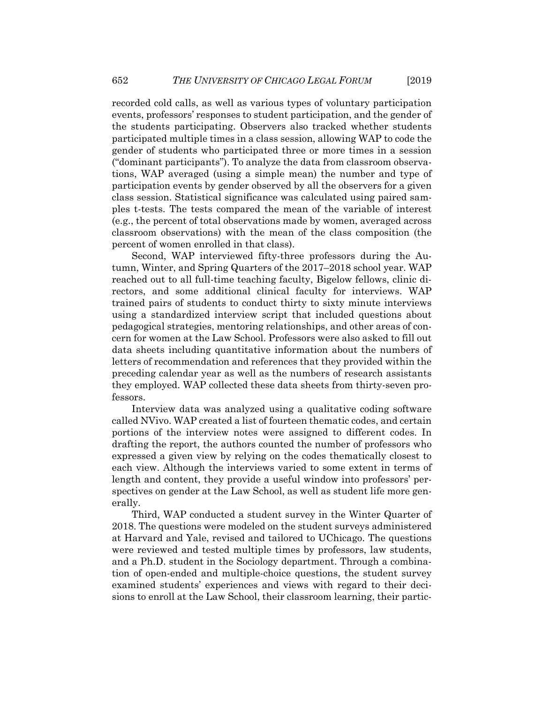recorded cold calls, as well as various types of voluntary participation events, professors' responses to student participation, and the gender of the students participating. Observers also tracked whether students participated multiple times in a class session, allowing WAP to code the gender of students who participated three or more times in a session ("dominant participants"). To analyze the data from classroom observations, WAP averaged (using a simple mean) the number and type of participation events by gender observed by all the observers for a given class session. Statistical significance was calculated using paired samples t-tests. The tests compared the mean of the variable of interest (e.g., the percent of total observations made by women, averaged across classroom observations) with the mean of the class composition (the percent of women enrolled in that class).

Second, WAP interviewed fifty-three professors during the Autumn, Winter, and Spring Quarters of the 2017–2018 school year. WAP reached out to all full-time teaching faculty, Bigelow fellows, clinic directors, and some additional clinical faculty for interviews. WAP trained pairs of students to conduct thirty to sixty minute interviews using a standardized interview script that included questions about pedagogical strategies, mentoring relationships, and other areas of concern for women at the Law School. Professors were also asked to fill out data sheets including quantitative information about the numbers of letters of recommendation and references that they provided within the preceding calendar year as well as the numbers of research assistants they employed. WAP collected these data sheets from thirty-seven professors.

Interview data was analyzed using a qualitative coding software called NVivo. WAP created a list of fourteen thematic codes, and certain portions of the interview notes were assigned to different codes. In drafting the report, the authors counted the number of professors who expressed a given view by relying on the codes thematically closest to each view. Although the interviews varied to some extent in terms of length and content, they provide a useful window into professors' perspectives on gender at the Law School, as well as student life more generally.

Third, WAP conducted a student survey in the Winter Quarter of 2018. The questions were modeled on the student surveys administered at Harvard and Yale, revised and tailored to UChicago. The questions were reviewed and tested multiple times by professors, law students, and a Ph.D. student in the Sociology department. Through a combination of open-ended and multiple-choice questions, the student survey examined students' experiences and views with regard to their decisions to enroll at the Law School, their classroom learning, their partic-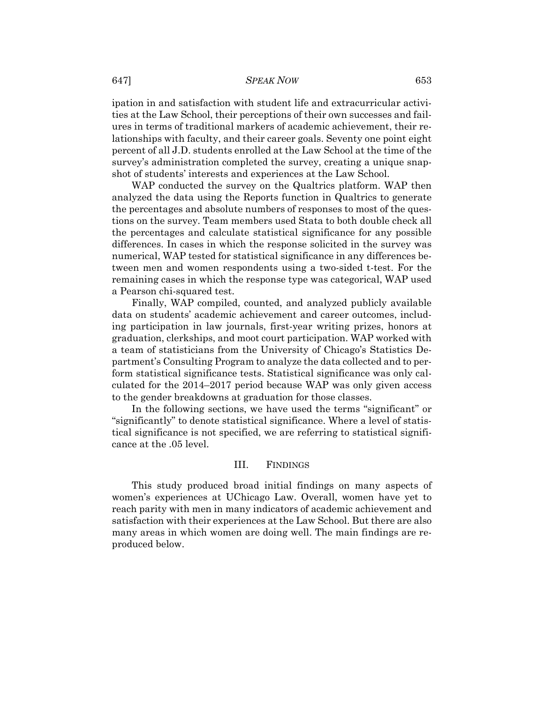#### 647] *SPEAK NOW* 653

ipation in and satisfaction with student life and extracurricular activities at the Law School, their perceptions of their own successes and failures in terms of traditional markers of academic achievement, their relationships with faculty, and their career goals. Seventy one point eight percent of all J.D. students enrolled at the Law School at the time of the survey's administration completed the survey, creating a unique snapshot of students' interests and experiences at the Law School.

WAP conducted the survey on the Qualtrics platform. WAP then analyzed the data using the Reports function in Qualtrics to generate the percentages and absolute numbers of responses to most of the questions on the survey. Team members used Stata to both double check all the percentages and calculate statistical significance for any possible differences. In cases in which the response solicited in the survey was numerical, WAP tested for statistical significance in any differences between men and women respondents using a two-sided t-test. For the remaining cases in which the response type was categorical, WAP used a Pearson chi-squared test.

Finally, WAP compiled, counted, and analyzed publicly available data on students' academic achievement and career outcomes, including participation in law journals, first-year writing prizes, honors at graduation, clerkships, and moot court participation. WAP worked with a team of statisticians from the University of Chicago's Statistics Department's Consulting Program to analyze the data collected and to perform statistical significance tests. Statistical significance was only calculated for the 2014–2017 period because WAP was only given access to the gender breakdowns at graduation for those classes.

In the following sections, we have used the terms "significant" or "significantly" to denote statistical significance. Where a level of statistical significance is not specified, we are referring to statistical significance at the .05 level.

#### III. FINDINGS

This study produced broad initial findings on many aspects of women's experiences at UChicago Law. Overall, women have yet to reach parity with men in many indicators of academic achievement and satisfaction with their experiences at the Law School. But there are also many areas in which women are doing well. The main findings are reproduced below.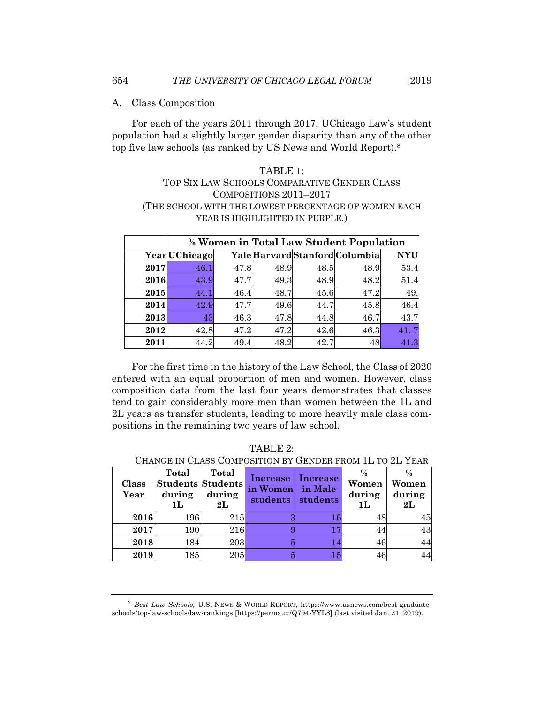A. Class Composition

For each of the years 2011 through 2017, UChicago Law's student population had a slightly larger gender disparity than any of the other top five law schools (as ranked by US News and World Report).8

## TABLE 1: TOP SIX LAW SCHOOLS COMPARATIVE GENDER CLASS COMPOSITIONS 2011–2017 (THE SCHOOL WITH THE LOWEST PERCENTAGE OF WOMEN EACH YEAR IS HIGHLIGHTED IN PURPLE.)

|      | % Women in Total Law Student Population |      |      |      |                                |            |  |  |
|------|-----------------------------------------|------|------|------|--------------------------------|------------|--|--|
|      | <b>Year</b> UChicago                    |      |      |      | Yale Harvard Stanford Columbia | <b>NYU</b> |  |  |
| 2017 | 46.1                                    | 47.8 | 48.9 | 48.5 | 48.9                           | 53.4       |  |  |
| 2016 | 43.9                                    | 47.7 | 49.3 | 48.9 | 48.2                           | 51.4       |  |  |
| 2015 | 44.1                                    | 46.4 | 48.7 | 45.6 | 47.2                           | 49.        |  |  |
| 2014 | 42.9                                    | 47.7 | 49.6 | 44.7 | 45.8                           | 46.4       |  |  |
| 2013 | 43                                      | 46.3 | 47.8 | 44.8 | 46.7                           | 43.7       |  |  |
| 2012 | 42.8                                    | 47.2 | 47.2 | 42.6 | 46.3                           |            |  |  |
| 2011 |                                         | 49.4 | 48.2 | 42.7 | 48                             |            |  |  |

For the first time in the history of the Law School, the Class of 2020 entered with an equal proportion of men and women. However, class composition data from the last four years demonstrates that classes tend to gain considerably more men than women between the 1L and 2L years as transfer students, leading to more heavily male class compositions in the remaining two years of law school.

| Class<br>Year | Total<br>during<br>1L | Total<br><b>Students Students</b><br>during<br>$2{\bf L}$ | Increase<br>in Women<br>students | Increase<br>in Male<br>students | $\%$<br>Women<br>during<br>1L | Women<br>during<br>$2{\rm L}$ |
|---------------|-----------------------|-----------------------------------------------------------|----------------------------------|---------------------------------|-------------------------------|-------------------------------|
| 2016          | 196                   | <b>215</b>                                                | З                                | 16                              |                               | 45                            |
| 2017          | 190                   | <b>216</b>                                                |                                  | 17                              |                               | 43                            |
| 2018          | 184                   | <b>203</b>                                                | 5                                | 14                              | 46                            | 44                            |
| 2019          | $185\,$               | 205                                                       |                                  | 15                              |                               | 44                            |

TABLE 2:

 $C$ EURER EROLL 1L TO  $\overline{O}$  VELE

<sup>&</sup>lt;sup>8</sup> Best Law Schools, U.S. NEWS & WORLD REPORT, https://www.usnews.com/best-graduateschools/top-law-schools/law-rankings [https://perma.cc/Q794-YYL8] (last visited Jan. 21, 2019).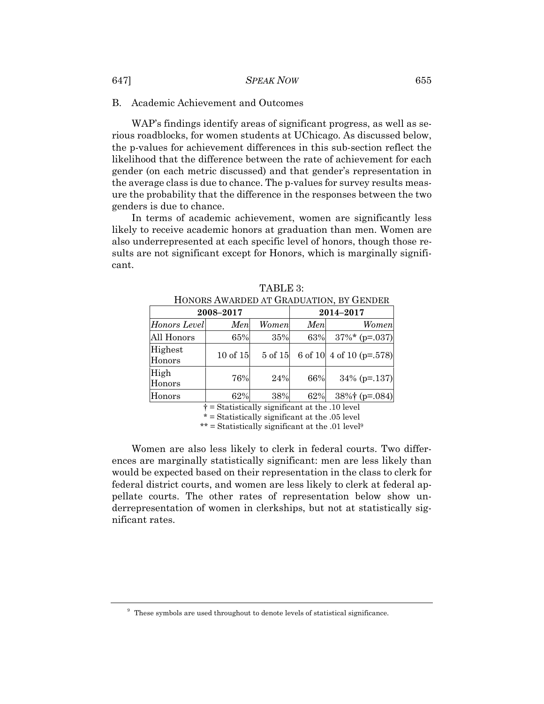#### B. Academic Achievement and Outcomes

WAP's findings identify areas of significant progress, as well as serious roadblocks, for women students at UChicago. As discussed below, the p-values for achievement differences in this sub-section reflect the likelihood that the difference between the rate of achievement for each gender (on each metric discussed) and that gender's representation in the average class is due to chance. The p-values for survey results measure the probability that the difference in the responses between the two genders is due to chance.

In terms of academic achievement, women are significantly less likely to receive academic honors at graduation than men. Women are also underrepresented at each specific level of honors, though those results are not significant except for Honors, which is marginally significant.

| HUNUNS AWANDED AT UNADUATION, DT UENDEN |           |           |     |                                  |  |  |
|-----------------------------------------|-----------|-----------|-----|----------------------------------|--|--|
|                                         | 2008-2017 | 2014-2017 |     |                                  |  |  |
| Honors Level                            | Men       | Women     | Men | <b>Women</b>                     |  |  |
| All Honors                              | 65%       | 35%       | 63% | $37\%$ * (p=.037)                |  |  |
| Highest<br>Honors                       | 10 of 15  | 5 of 15   |     | 6 of 10 $\vert$ 4 of 10 (p=.578) |  |  |
| High<br>Honors                          | 76%       | 24%       | 66% | $34\%$ (p=.137)                  |  |  |
| Honors                                  | 62%       | 38%       | 62% | $38\%$ † (p=.084)                |  |  |

TABLE 3: HONORS AWARDED AT CRADUATION, BY GENDER

† = Statistically significant at the .10 level

\* = Statistically significant at the .05 level

\*\* = Statistically significant at the .01 level<sup>9</sup>

Women are also less likely to clerk in federal courts. Two differences are marginally statistically significant: men are less likely than would be expected based on their representation in the class to clerk for federal district courts, and women are less likely to clerk at federal appellate courts. The other rates of representation below show underrepresentation of women in clerkships, but not at statistically significant rates.

<sup>&</sup>lt;sup>9</sup> These symbols are used throughout to denote levels of statistical significance.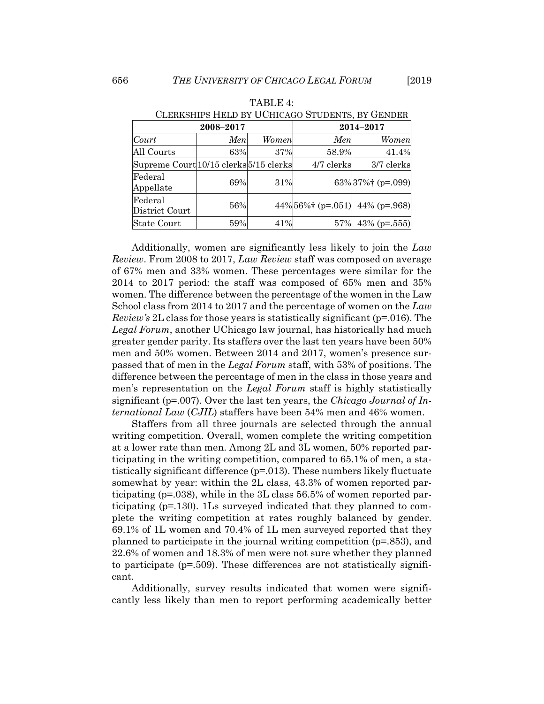|                                        | communities thank by Content Corporation by Gamban |              |            |                                    |  |  |  |  |
|----------------------------------------|----------------------------------------------------|--------------|------------|------------------------------------|--|--|--|--|
|                                        | 2008-2017                                          | 2014-2017    |            |                                    |  |  |  |  |
| Court                                  | Men                                                | <b>Women</b> | Men        | <b>Women</b>                       |  |  |  |  |
| All Courts                             | 63%                                                | 37%          | 58.9%      | 41.4%                              |  |  |  |  |
| Supreme Court 10/15 clerks 5/15 clerks |                                                    |              | 4/7 clerks | 3/7 clerks                         |  |  |  |  |
| Federal<br>Appellate                   | 69%                                                | 31%          |            | $63\%$ 37%† (p=.099)               |  |  |  |  |
| Federal<br>District Court              | 56%                                                |              |            | 44% $56\%$ † (p=.051) 44% (p=.968) |  |  |  |  |
| State Court                            | 59%                                                | 41%          | 57%        | 43% ( $p = .555$ )                 |  |  |  |  |

TABLE 4: CLERKSHIPS HELD BY UCHICAGO STUDENTS, BY GENDER

Additionally, women are significantly less likely to join the *Law Review*. From 2008 to 2017, *Law Review* staff was composed on average of 67% men and 33% women. These percentages were similar for the 2014 to 2017 period: the staff was composed of 65% men and 35% women. The difference between the percentage of the women in the Law School class from 2014 to 2017 and the percentage of women on the *Law Review's* 2L class for those years is statistically significant (p=.016). The *Legal Forum*, another UChicago law journal, has historically had much greater gender parity. Its staffers over the last ten years have been 50% men and 50% women. Between 2014 and 2017, women's presence surpassed that of men in the *Legal Forum* staff, with 53% of positions. The difference between the percentage of men in the class in those years and men's representation on the *Legal Forum* staff is highly statistically significant (p=.007). Over the last ten years, the *Chicago Journal of International Law* (*CJIL*) staffers have been 54% men and 46% women.

Staffers from all three journals are selected through the annual writing competition. Overall, women complete the writing competition at a lower rate than men. Among 2L and 3L women, 50% reported participating in the writing competition, compared to 65.1% of men, a statistically significant difference (p=.013). These numbers likely fluctuate somewhat by year: within the 2L class, 43.3% of women reported participating ( $p=.038$ ), while in the 3L class 56.5% of women reported participating (p=.130). 1Ls surveyed indicated that they planned to complete the writing competition at rates roughly balanced by gender. 69.1% of 1L women and 70.4% of 1L men surveyed reported that they planned to participate in the journal writing competition (p=.853), and 22.6% of women and 18.3% of men were not sure whether they planned to participate  $(p=509)$ . These differences are not statistically significant.

Additionally, survey results indicated that women were significantly less likely than men to report performing academically better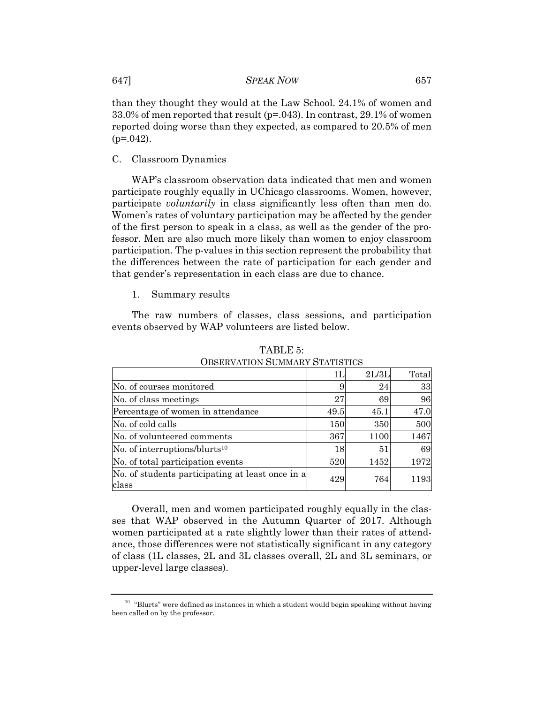than they thought they would at the Law School. 24.1% of women and 33.0% of men reported that result ( $p=0.043$ ). In contrast, 29.1% of women reported doing worse than they expected, as compared to 20.5% of men  $(p=.042)$ .

## C. Classroom Dynamics

WAP's classroom observation data indicated that men and women participate roughly equally in UChicago classrooms. Women, however, participate *voluntarily* in class significantly less often than men do. Women's rates of voluntary participation may be affected by the gender of the first person to speak in a class, as well as the gender of the professor. Men are also much more likely than women to enjoy classroom participation. The p-values in this section represent the probability that the differences between the rate of participation for each gender and that gender's representation in each class are due to chance.

1. Summary results

The raw numbers of classes, class sessions, and participation events observed by WAP volunteers are listed below.

|                                                           |      | 2L/3L | Total |
|-----------------------------------------------------------|------|-------|-------|
| No. of courses monitored                                  |      | 24    | 33    |
| No. of class meetings                                     | 27   | 69    | 96    |
| Percentage of women in attendance                         | 49.5 | 45.1  | 47.0  |
| No. of cold calls                                         | 150  | 350   | 500   |
| No. of volunteered comments                               | 367  | 1100  | 1467  |
| No. of interruptions/blurts <sup>10</sup>                 | 18   | 51    | 69    |
| No. of total participation events                         | 520  | 1452  | 1972  |
| No. of students participating at least once in a<br>class | 429  | 764   | 1193  |

TABLE 5: OBSERVATION SUMMARY STATISTICS

Overall, men and women participated roughly equally in the classes that WAP observed in the Autumn Quarter of 2017. Although women participated at a rate slightly lower than their rates of attendance, those differences were not statistically significant in any category of class (1L classes, 2L and 3L classes overall, 2L and 3L seminars, or upper-level large classes).

 $10$  "Blurts" were defined as instances in which a student would begin speaking without having been called on by the professor.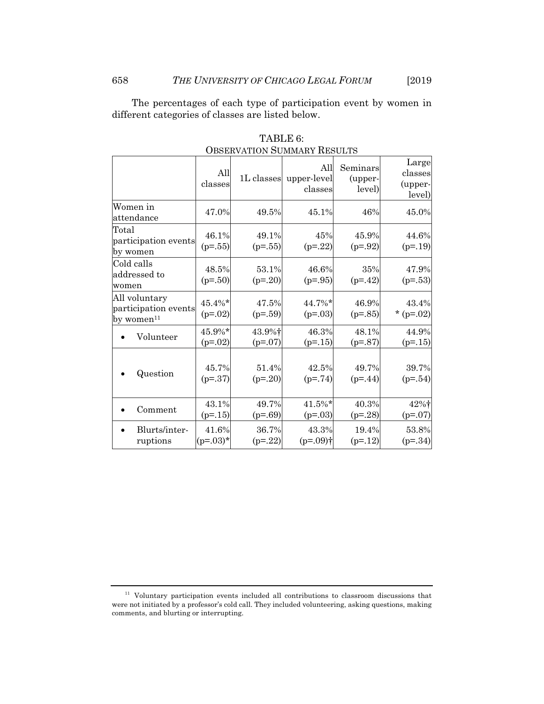The percentages of each type of participation event by women in different categories of classes are listed below.

|                                                                 | All<br>classes      | 1L classes          | All<br>upper-level<br>classes | Seminars<br>(upper-<br>level) | Large<br>classes<br>(upper-<br>level) |
|-----------------------------------------------------------------|---------------------|---------------------|-------------------------------|-------------------------------|---------------------------------------|
| Women in<br>attendance                                          | 47.0%               | 49.5%               | 45.1%                         | 46%                           | 45.0%                                 |
| Total<br>participation events<br>by women                       | 46.1%<br>$(p=.55)$  | 49.1%<br>$(p=.55)$  | 45%<br>$(p=.22)$              | 45.9%<br>$(p=.92)$            | 44.6%<br>$(p=.19)$                    |
| Cold calls<br>addressed to<br>women                             | 48.5%<br>$(p=.50)$  | 53.1%<br>$(p=.20)$  | 46.6%<br>$(p=.95)$            | 35%<br>$(p=.42)$              | 47.9%<br>$(p=.53)$                    |
| All voluntary<br>participation events<br>by women <sup>11</sup> | 45.4%*<br>$(p=.02)$ | 47.5%<br>$(p=.59)$  | 44.7%*<br>$(p=.03)$           | 46.9%<br>$(p=.85)$            | 43.4%<br>* ( $p=.02$ )                |
| Volunteer                                                       | 45.9%*<br>$(p=.02)$ | 43.9%+<br>$(p=.07)$ | 46.3%<br>$(p=15)$             | 48.1%<br>$(p=.87)$            | 44.9%<br>$(p=15)$                     |
| Question                                                        | 45.7%<br>$(p=.37)$  | 51.4%<br>$(p=.20)$  | 42.5%<br>$(p=.74)$            | 49.7%<br>$(p=44)$             | 39.7%<br>$(p=.54)$                    |
| Comment                                                         | 43.1%<br>$(p=15)$   | 49.7%<br>$(p=.69)$  | 41.5%*<br>$(p=.03)$           | 40.3%<br>$(p=.28)$            | 42%†<br>$(p=.07)$                     |
| Blurts/inter-<br>ruptions                                       | 41.6%<br>$(p=.03)*$ | 36.7%<br>$(p=.22)$  | 43.3%<br>$(p=.09)$ †          | 19.4%<br>$(p=12)$             | 53.8%<br>$(p=.34)$                    |

TABLE 6: OBSERVATION SUMMARY RESULTS

 $11$  Voluntary participation events included all contributions to classroom discussions that were not initiated by a professor's cold call. They included volunteering, asking questions, making comments, and blurting or interrupting.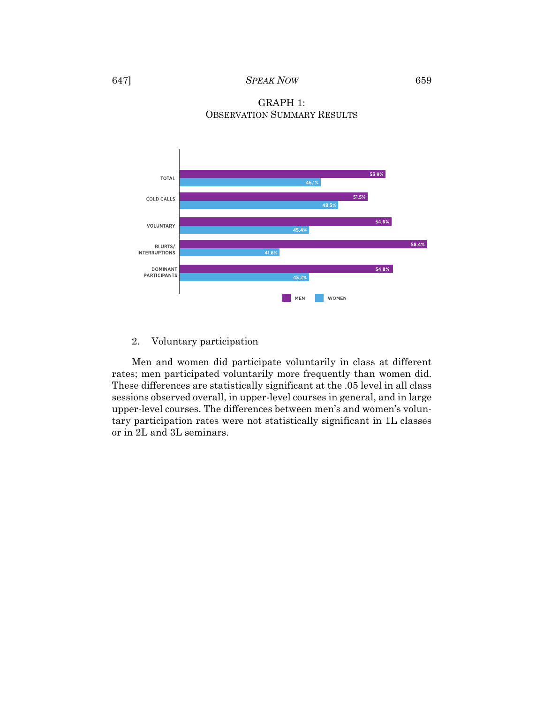## GRAPH 1: OBSERVATION SUMMARY RESULTS



## 2. Voluntary participation

Men and women did participate voluntarily in class at different rates; men participated voluntarily more frequently than women did. These differences are statistically significant at the .05 level in all class sessions observed overall, in upper-level courses in general, and in large upper-level courses. The differences between men's and women's voluntary participation rates were not statistically significant in 1L classes or in 2L and 3L seminars.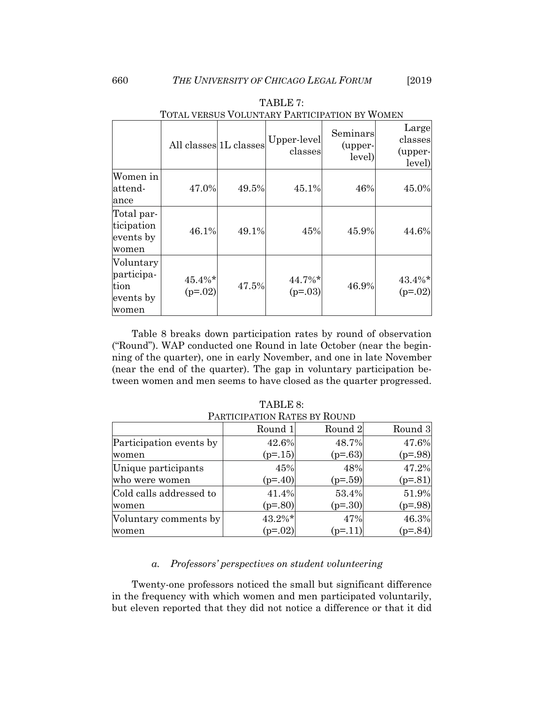|                                                       | TOTIMI VERIOOD VOEDIVITRIVI TTRITIOITIITIOIVET VIOIREIV<br>All classes 1L classes |       | Upper-level         | Seminars<br>(upper- | Large<br>classes       |
|-------------------------------------------------------|-----------------------------------------------------------------------------------|-------|---------------------|---------------------|------------------------|
|                                                       |                                                                                   |       | classes             | level)              | (upper-<br>level)      |
| Women in<br>attend-<br>ance                           | 47.0%                                                                             | 49.5% | 45.1%               | 46%                 | 45.0%                  |
| Total par-<br>ticipation<br>events by<br>women        | 46.1%                                                                             | 49.1% | 45%                 | 45.9%               | 44.6%                  |
| Voluntary<br>participa-<br>tion<br>events by<br>women | $45.4\%*$<br>$(p=.02)$                                                            | 47.5% | 44.7%*<br>$(p=.03)$ | 46.9%               | $43.4\%*$<br>$(p=.02)$ |

TABLE 7: TOTAL VERSUS VOLUNTARY PARTICIPATION BY WOMEN

Table 8 breaks down participation rates by round of observation ("Round"). WAP conducted one Round in late October (near the beginning of the quarter), one in early November, and one in late November (near the end of the quarter). The gap in voluntary participation between women and men seems to have closed as the quarter progressed.

| <u>I AIUTUH ATIVIV IWITED DI IWUND</u> |           |           |           |  |  |  |
|----------------------------------------|-----------|-----------|-----------|--|--|--|
|                                        | Round 1   | Round 2   | Round 3   |  |  |  |
| Participation events by                | 42.6%     | 48.7%     | 47.6%     |  |  |  |
| women                                  | $(p=15)$  | $(p=.63)$ | $(p=.98)$ |  |  |  |
| Unique participants                    | 45%       | 48%       | 47.2%     |  |  |  |
| who were women                         | $(p=40)$  | $(p=.59)$ | $(p=.81)$ |  |  |  |
| Cold calls addressed to                | 41.4%     | 53.4%     | 51.9%     |  |  |  |
| women                                  | $(p=.80)$ | $(p=30)$  | $(p=.98)$ |  |  |  |
| Voluntary comments by                  | $43.2\%*$ | 47%       | 46.3%     |  |  |  |
| women                                  | $(p=.02)$ | $(p=11)$  | $(p=.84)$ |  |  |  |

TABLE 8: PARTICIPATION RATES BY ROUND

## *a. Professors' perspectives on student volunteering*

Twenty-one professors noticed the small but significant difference in the frequency with which women and men participated voluntarily, but eleven reported that they did not notice a difference or that it did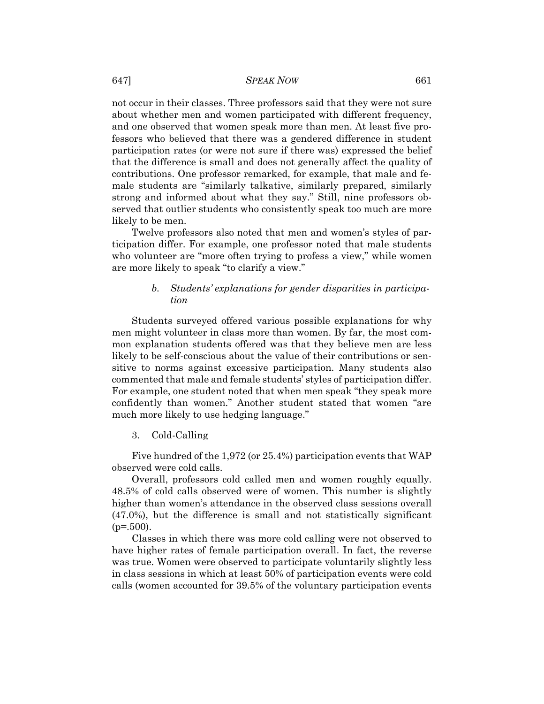#### 647] *SPEAK NOW* 661

not occur in their classes. Three professors said that they were not sure about whether men and women participated with different frequency, and one observed that women speak more than men. At least five professors who believed that there was a gendered difference in student participation rates (or were not sure if there was) expressed the belief that the difference is small and does not generally affect the quality of contributions. One professor remarked, for example, that male and female students are "similarly talkative, similarly prepared, similarly strong and informed about what they say." Still, nine professors observed that outlier students who consistently speak too much are more likely to be men.

Twelve professors also noted that men and women's styles of participation differ. For example, one professor noted that male students who volunteer are "more often trying to profess a view," while women are more likely to speak "to clarify a view."

## *b. Students' explanations for gender disparities in participation*

Students surveyed offered various possible explanations for why men might volunteer in class more than women. By far, the most common explanation students offered was that they believe men are less likely to be self-conscious about the value of their contributions or sensitive to norms against excessive participation. Many students also commented that male and female students' styles of participation differ. For example, one student noted that when men speak "they speak more confidently than women." Another student stated that women "are much more likely to use hedging language."

## 3. Cold-Calling

Five hundred of the 1,972 (or 25.4%) participation events that WAP observed were cold calls.

Overall, professors cold called men and women roughly equally. 48.5% of cold calls observed were of women. This number is slightly higher than women's attendance in the observed class sessions overall (47.0%), but the difference is small and not statistically significant  $(p=.500)$ .

Classes in which there was more cold calling were not observed to have higher rates of female participation overall. In fact, the reverse was true. Women were observed to participate voluntarily slightly less in class sessions in which at least 50% of participation events were cold calls (women accounted for 39.5% of the voluntary participation events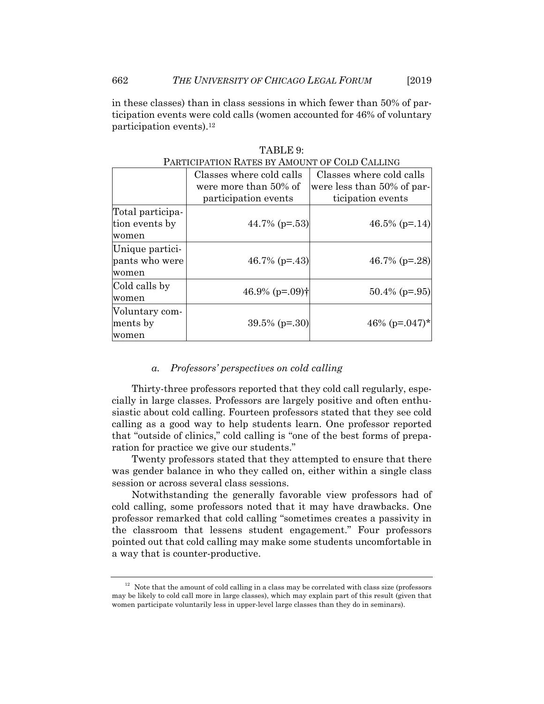in these classes) than in class sessions in which fewer than 50% of participation events were cold calls (women accounted for 46% of voluntary participation events).12

| PARTICIPATION RATES BY AMOUNT OF COLD CALLING |                              |                            |  |  |  |  |
|-----------------------------------------------|------------------------------|----------------------------|--|--|--|--|
|                                               | Classes where cold calls     | Classes where cold calls   |  |  |  |  |
|                                               | were more than 50% of        | were less than 50% of par- |  |  |  |  |
|                                               | participation events         | ticipation events          |  |  |  |  |
| Total participa-                              |                              |                            |  |  |  |  |
| tion events by                                | 44.7% ( $p = .53$ )          | 46.5% ( $p=14$ )           |  |  |  |  |
| women                                         |                              |                            |  |  |  |  |
| Unique partici-                               |                              |                            |  |  |  |  |
| pants who were                                | 46.7% ( $p = -43$ )          | 46.7% ( $p = 28$ )         |  |  |  |  |
| women                                         |                              |                            |  |  |  |  |
| Cold calls by                                 | 46.9% $(p=.09)$ <sup>†</sup> | $50.4\%$ (p=.95)           |  |  |  |  |
| women                                         |                              |                            |  |  |  |  |
| Voluntary com-                                |                              |                            |  |  |  |  |
| ments by                                      | $39.5\%$ (p=.30)             | 46\% (p=.047)*             |  |  |  |  |
| women                                         |                              |                            |  |  |  |  |

TABLE 9:

#### *a. Professors' perspectives on cold calling*

Thirty-three professors reported that they cold call regularly, especially in large classes. Professors are largely positive and often enthusiastic about cold calling. Fourteen professors stated that they see cold calling as a good way to help students learn. One professor reported that "outside of clinics," cold calling is "one of the best forms of preparation for practice we give our students."

Twenty professors stated that they attempted to ensure that there was gender balance in who they called on, either within a single class session or across several class sessions.

Notwithstanding the generally favorable view professors had of cold calling, some professors noted that it may have drawbacks. One professor remarked that cold calling "sometimes creates a passivity in the classroom that lessens student engagement." Four professors pointed out that cold calling may make some students uncomfortable in a way that is counter-productive.

 $12$  Note that the amount of cold calling in a class may be correlated with class size (professors may be likely to cold call more in large classes), which may explain part of this result (given that women participate voluntarily less in upper-level large classes than they do in seminars).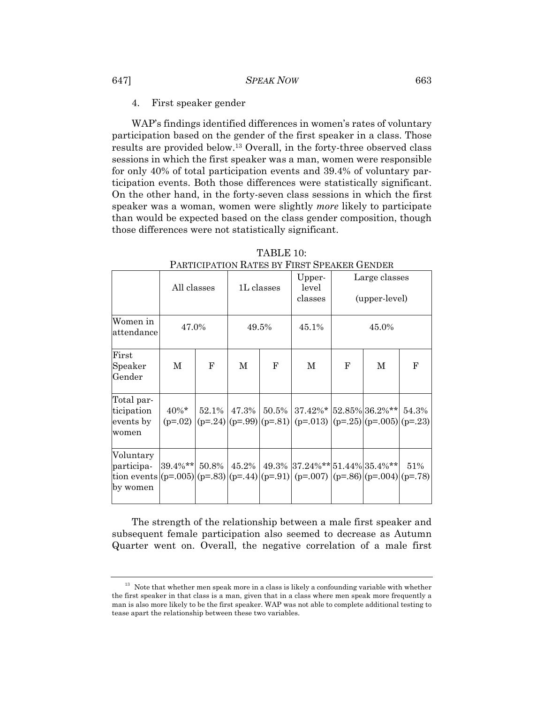4. First speaker gender

WAP's findings identified differences in women's rates of voluntary participation based on the gender of the first speaker in a class. Those results are provided below.13 Overall, in the forty-three observed class sessions in which the first speaker was a man, women were responsible for only 40% of total participation events and 39.4% of voluntary participation events. Both those differences were statistically significant. On the other hand, in the forty-seven class sessions in which the first speaker was a woman, women were slightly *more* likely to participate than would be expected based on the class gender composition, though those differences were not statistically significant.

|                                                                                                                  | All classes           |            | 1L classes |            | Upper-<br>level<br>classes                                                                        | Large classes<br>(upper-level) |   |       |
|------------------------------------------------------------------------------------------------------------------|-----------------------|------------|------------|------------|---------------------------------------------------------------------------------------------------|--------------------------------|---|-------|
| Women in<br>lattendance                                                                                          | 47.0%                 |            | 49.5%      |            | 45.1%                                                                                             | 45.0%                          |   |       |
| First<br>Speaker<br>Gender                                                                                       | М                     | $_{\rm F}$ | M          | $_{\rm F}$ | $\mathbf M$                                                                                       | $\mathbf{F}$                   | M | F     |
| Total par-<br>ticipation<br>events by<br>women                                                                   | $40\%$ *<br>$(p=.02)$ | $52.1\%$   |            |            | $47.3\%$   50.5%   37.42%*   52.85%   36.2%**  <br>$(p=24)(p=99)(p=81)(p=013)(p=25)(p=005)(p=23)$ |                                |   | 54.3% |
| Voluntary<br>participa-<br>tion events $(p=.005)(p=.83)(p=.44)(p=.91)(p=.007)(p=.86)(p=.004)(p=.78)$<br>by women | 39.4%**  50.8%        |            | $45.2\%$   |            | 49.3% 37.24%** 51.44% 35.4%**                                                                     |                                |   | 51%   |

TABLE 10: PARTICIPATION RATES BY FIRST SPEAKER GENDER

The strength of the relationship between a male first speaker and subsequent female participation also seemed to decrease as Autumn Quarter went on. Overall, the negative correlation of a male first

 $^{13}\,$  Note that whether men speak more in a class is likely a confounding variable with whether the first speaker in that class is a man, given that in a class where men speak more frequently a man is also more likely to be the first speaker. WAP was not able to complete additional testing to tease apart the relationship between these two variables.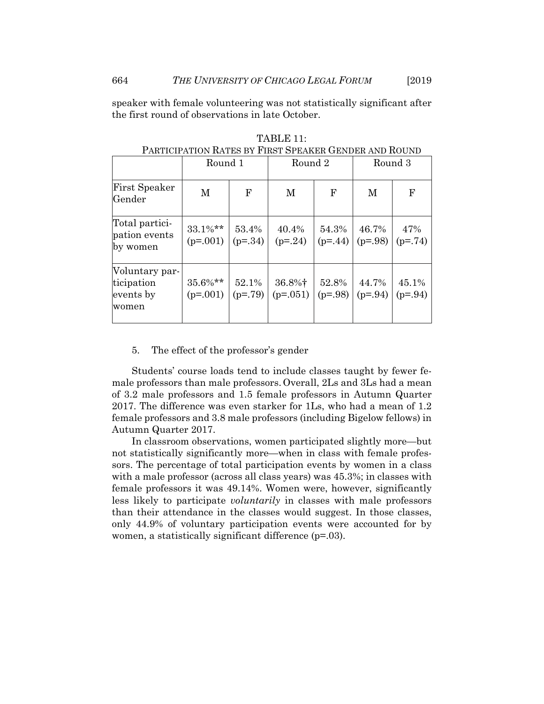speaker with female volunteering was not statistically significant after the first round of observations in late October.

| шк мындыктыр поспе                                 |                          |                    |                      |                    |                    |                    |
|----------------------------------------------------|--------------------------|--------------------|----------------------|--------------------|--------------------|--------------------|
|                                                    | Round 1                  |                    | Round 2              |                    | Round 3            |                    |
| First Speaker<br>Gender                            | M                        | $\mathbf F$        | M                    | F                  | M                  | $\mathbf F$        |
| Total partici-<br>pation events<br>by women        | $33.1\%**$<br>$(p=.001)$ | 53.4%<br>$(p=.34)$ | 40.4%<br>$(p=24)$    | 54.3%<br>$(p=44)$  | 46.7%<br>$(p=.98)$ | 47%<br>$(p=.74)$   |
| Voluntary par-<br>ticipation<br>events by<br>women | $35.6\%**$<br>$(p=.001)$ | 52.1%<br>$(p=.79)$ | 36.8%†<br>$(p=.051)$ | 52.8%<br>$(p=.98)$ | 44.7%<br>$(p=.94)$ | 45.1%<br>$(p=.94)$ |

TABLE 11: PARTICIPATION RATES BY FIRST SPEAKER GENDER AND ROUND

#### 5. The effect of the professor's gender

Students' course loads tend to include classes taught by fewer female professors than male professors. Overall, 2Ls and 3Ls had a mean of 3.2 male professors and 1.5 female professors in Autumn Quarter 2017. The difference was even starker for 1Ls, who had a mean of 1.2 female professors and 3.8 male professors (including Bigelow fellows) in Autumn Quarter 2017.

In classroom observations, women participated slightly more—but not statistically significantly more—when in class with female professors. The percentage of total participation events by women in a class with a male professor (across all class years) was 45.3%; in classes with female professors it was 49.14%. Women were, however, significantly less likely to participate *voluntarily* in classes with male professors than their attendance in the classes would suggest. In those classes, only 44.9% of voluntary participation events were accounted for by women, a statistically significant difference ( $p=0.03$ ).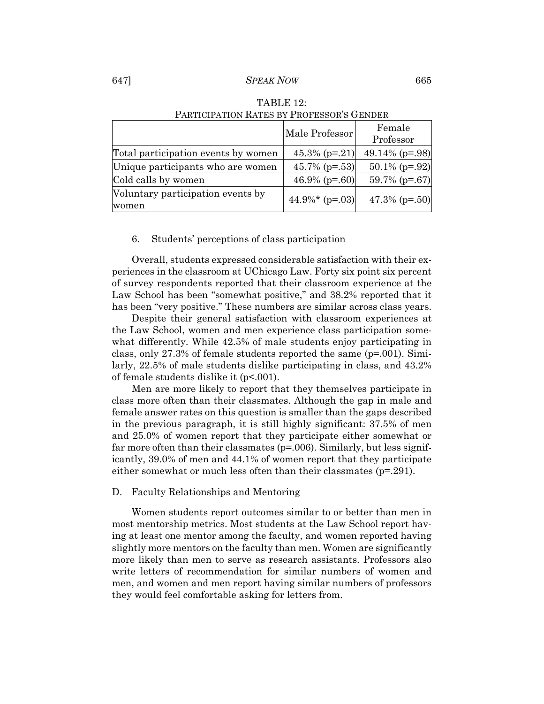## 647] *SPEAK NOW* 665

|                                            | Male Professor     | Female           |
|--------------------------------------------|--------------------|------------------|
|                                            |                    | Professor        |
| Total participation events by women        | $45.3\%$ (p=.21)   | 49.14% $(p=.98)$ |
| Unique participants who are women          | 45.7% $(p=.53)$    | $50.1\%$ (p=.92) |
| Cold calls by women                        | 46.9% ( $p=.60$ )  | $59.7\%$ (p=.67) |
| Voluntary participation events by<br>women | $44.9\%$ * (p=.03) | 47.3% $(p=.50)$  |

## TABLE 12: PARTICIPATION RATES BY PROFESSOR'S GENDER

## 6. Students' perceptions of class participation

Overall, students expressed considerable satisfaction with their experiences in the classroom at UChicago Law. Forty six point six percent of survey respondents reported that their classroom experience at the Law School has been "somewhat positive," and  $38.2\%$  reported that it has been "very positive." These numbers are similar across class years.

Despite their general satisfaction with classroom experiences at the Law School, women and men experience class participation somewhat differently. While 42.5% of male students enjoy participating in class, only 27.3% of female students reported the same (p=.001). Similarly, 22.5% of male students dislike participating in class, and 43.2% of female students dislike it (p<.001).

Men are more likely to report that they themselves participate in class more often than their classmates. Although the gap in male and female answer rates on this question is smaller than the gaps described in the previous paragraph, it is still highly significant: 37.5% of men and 25.0% of women report that they participate either somewhat or far more often than their classmates (p=.006). Similarly, but less significantly, 39.0% of men and 44.1% of women report that they participate either somewhat or much less often than their classmates (p=.291).

#### D. Faculty Relationships and Mentoring

Women students report outcomes similar to or better than men in most mentorship metrics. Most students at the Law School report having at least one mentor among the faculty, and women reported having slightly more mentors on the faculty than men. Women are significantly more likely than men to serve as research assistants. Professors also write letters of recommendation for similar numbers of women and men, and women and men report having similar numbers of professors they would feel comfortable asking for letters from.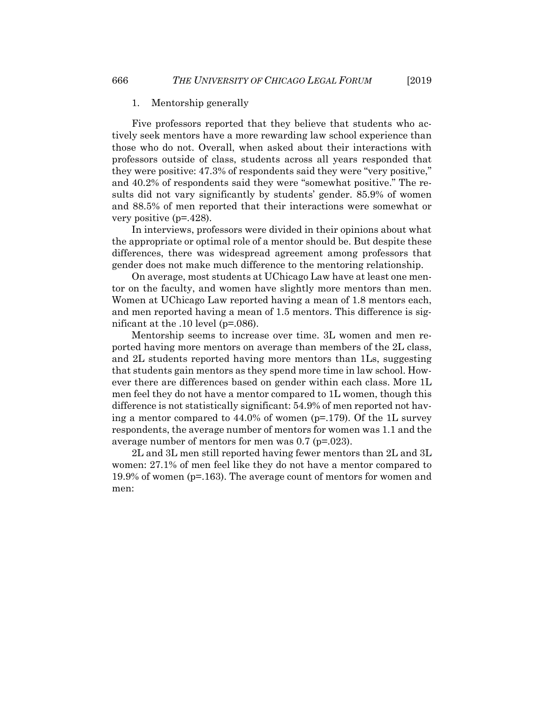#### 1. Mentorship generally

Five professors reported that they believe that students who actively seek mentors have a more rewarding law school experience than those who do not. Overall, when asked about their interactions with professors outside of class, students across all years responded that they were positive: 47.3% of respondents said they were "very positive," and 40.2% of respondents said they were "somewhat positive." The results did not vary significantly by students' gender. 85.9% of women and 88.5% of men reported that their interactions were somewhat or very positive (p=.428).

In interviews, professors were divided in their opinions about what the appropriate or optimal role of a mentor should be. But despite these differences, there was widespread agreement among professors that gender does not make much difference to the mentoring relationship.

On average, most students at UChicago Law have at least one mentor on the faculty, and women have slightly more mentors than men. Women at UChicago Law reported having a mean of 1.8 mentors each, and men reported having a mean of 1.5 mentors. This difference is significant at the .10 level (p=.086).

Mentorship seems to increase over time. 3L women and men reported having more mentors on average than members of the 2L class, and 2L students reported having more mentors than 1Ls, suggesting that students gain mentors as they spend more time in law school. However there are differences based on gender within each class. More 1L men feel they do not have a mentor compared to 1L women, though this difference is not statistically significant: 54.9% of men reported not having a mentor compared to 44.0% of women (p=.179). Of the 1L survey respondents, the average number of mentors for women was 1.1 and the average number of mentors for men was 0.7 (p=.023).

2L and 3L men still reported having fewer mentors than 2L and 3L women: 27.1% of men feel like they do not have a mentor compared to 19.9% of women (p=.163). The average count of mentors for women and men: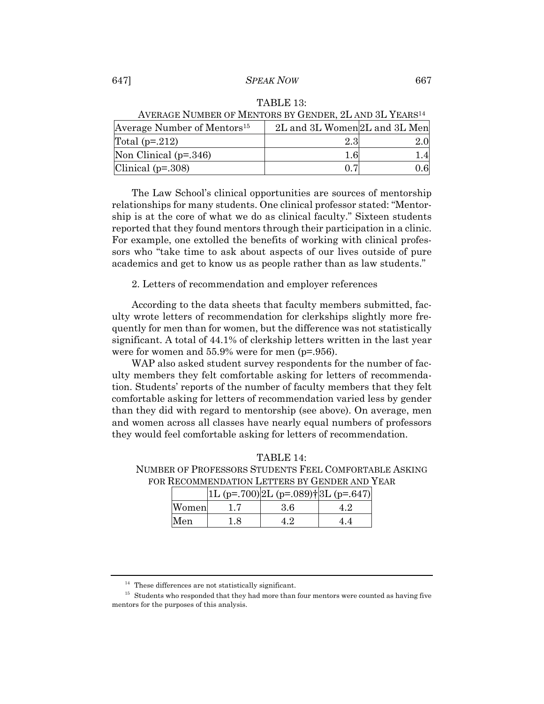## 647] *SPEAK NOW* 667

|  | TABLE 13: |  |
|--|-----------|--|
|  |           |  |

| Average Number of Mentors <sup>15</sup> | 2L and 3L Women 2L and 3L Men |  |  |
|-----------------------------------------|-------------------------------|--|--|
| Total $(p=.212)$                        | $2.3\,$                       |  |  |
| Non Clinical $(p=.346)$                 |                               |  |  |
| Clinical $(p=.308)$                     |                               |  |  |

AVERAGE NUMBER OF MENTORS BY GENDER, 2L AND 3L YEARS14

The Law School's clinical opportunities are sources of mentorship relationships for many students. One clinical professor stated: "Mentorship is at the core of what we do as clinical faculty." Sixteen students reported that they found mentors through their participation in a clinic. For example, one extolled the benefits of working with clinical professors who "take time to ask about aspects of our lives outside of pure academics and get to know us as people rather than as law students."

2. Letters of recommendation and employer references

According to the data sheets that faculty members submitted, faculty wrote letters of recommendation for clerkships slightly more frequently for men than for women, but the difference was not statistically significant. A total of 44.1% of clerkship letters written in the last year were for women and 55.9% were for men (p=.956).

WAP also asked student survey respondents for the number of faculty members they felt comfortable asking for letters of recommendation. Students' reports of the number of faculty members that they felt comfortable asking for letters of recommendation varied less by gender than they did with regard to mentorship (see above). On average, men and women across all classes have nearly equal numbers of professors they would feel comfortable asking for letters of recommendation.

| 111DIJI 1 1.                                  |  |  |                                                       |  |  |
|-----------------------------------------------|--|--|-------------------------------------------------------|--|--|
|                                               |  |  | NUMBER OF PROFESSORS STUDENTS FEEL COMFORTABLE ASKING |  |  |
| FOR RECOMMENDATION LETTERS BY GENDER AND YEAR |  |  |                                                       |  |  |
|                                               |  |  |                                                       |  |  |

TABLE 14:

|       |     | $ 1L (p=.700) 2L (p=.089)$ † $ 3L (p=.647)$ |     |
|-------|-----|---------------------------------------------|-----|
| Women |     | 3.6                                         | 4.2 |
| Men   | 1.8 | 4.2                                         | 4.4 |

 $14$  These differences are not statistically significant.

 $^{\rm 15}$  Students who responded that they had more than four mentors were counted as having five mentors for the purposes of this analysis.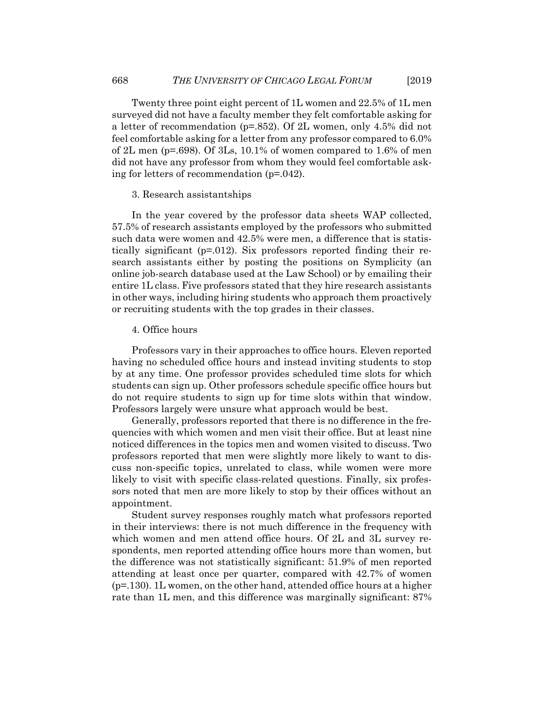Twenty three point eight percent of 1L women and 22.5% of 1L men surveyed did not have a faculty member they felt comfortable asking for a letter of recommendation (p=.852). Of 2L women, only 4.5% did not feel comfortable asking for a letter from any professor compared to 6.0% of 2L men (p=.698). Of 3Ls, 10.1% of women compared to 1.6% of men did not have any professor from whom they would feel comfortable asking for letters of recommendation (p=.042).

#### 3. Research assistantships

In the year covered by the professor data sheets WAP collected, 57.5% of research assistants employed by the professors who submitted such data were women and 42.5% were men, a difference that is statistically significant ( $p=0.012$ ). Six professors reported finding their research assistants either by posting the positions on Symplicity (an online job-search database used at the Law School) or by emailing their entire 1L class. Five professors stated that they hire research assistants in other ways, including hiring students who approach them proactively or recruiting students with the top grades in their classes.

## 4. Office hours

Professors vary in their approaches to office hours. Eleven reported having no scheduled office hours and instead inviting students to stop by at any time. One professor provides scheduled time slots for which students can sign up. Other professors schedule specific office hours but do not require students to sign up for time slots within that window. Professors largely were unsure what approach would be best.

Generally, professors reported that there is no difference in the frequencies with which women and men visit their office. But at least nine noticed differences in the topics men and women visited to discuss. Two professors reported that men were slightly more likely to want to discuss non-specific topics, unrelated to class, while women were more likely to visit with specific class-related questions. Finally, six professors noted that men are more likely to stop by their offices without an appointment.

Student survey responses roughly match what professors reported in their interviews: there is not much difference in the frequency with which women and men attend office hours. Of 2L and 3L survey respondents, men reported attending office hours more than women, but the difference was not statistically significant: 51.9% of men reported attending at least once per quarter, compared with 42.7% of women (p=.130). 1L women, on the other hand, attended office hours at a higher rate than 1L men, and this difference was marginally significant: 87%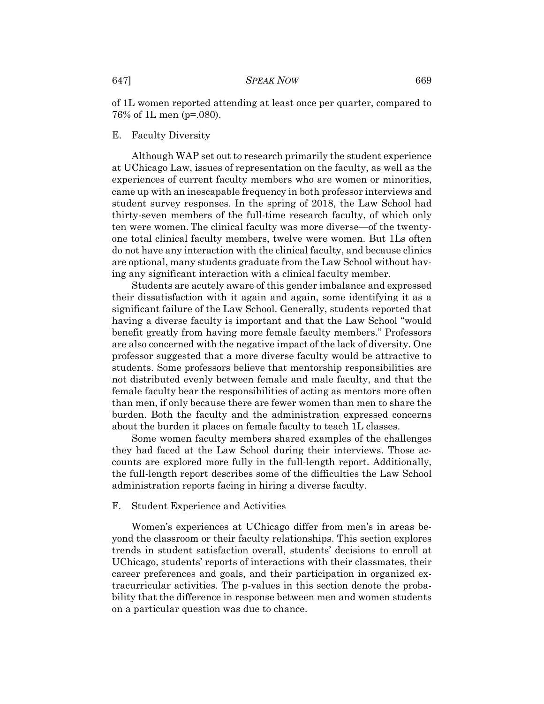of 1L women reported attending at least once per quarter, compared to 76% of 1L men (p=.080).

#### E. Faculty Diversity

Although WAP set out to research primarily the student experience at UChicago Law, issues of representation on the faculty, as well as the experiences of current faculty members who are women or minorities, came up with an inescapable frequency in both professor interviews and student survey responses. In the spring of 2018, the Law School had thirty-seven members of the full-time research faculty, of which only ten were women. The clinical faculty was more diverse—of the twentyone total clinical faculty members, twelve were women. But 1Ls often do not have any interaction with the clinical faculty, and because clinics are optional, many students graduate from the Law School without having any significant interaction with a clinical faculty member.

Students are acutely aware of this gender imbalance and expressed their dissatisfaction with it again and again, some identifying it as a significant failure of the Law School. Generally, students reported that having a diverse faculty is important and that the Law School "would benefit greatly from having more female faculty members." Professors are also concerned with the negative impact of the lack of diversity. One professor suggested that a more diverse faculty would be attractive to students. Some professors believe that mentorship responsibilities are not distributed evenly between female and male faculty, and that the female faculty bear the responsibilities of acting as mentors more often than men, if only because there are fewer women than men to share the burden. Both the faculty and the administration expressed concerns about the burden it places on female faculty to teach 1L classes.

Some women faculty members shared examples of the challenges they had faced at the Law School during their interviews. Those accounts are explored more fully in the full-length report. Additionally, the full-length report describes some of the difficulties the Law School administration reports facing in hiring a diverse faculty.

#### F. Student Experience and Activities

Women's experiences at UChicago differ from men's in areas beyond the classroom or their faculty relationships. This section explores trends in student satisfaction overall, students' decisions to enroll at UChicago, students' reports of interactions with their classmates, their career preferences and goals, and their participation in organized extracurricular activities. The p-values in this section denote the probability that the difference in response between men and women students on a particular question was due to chance.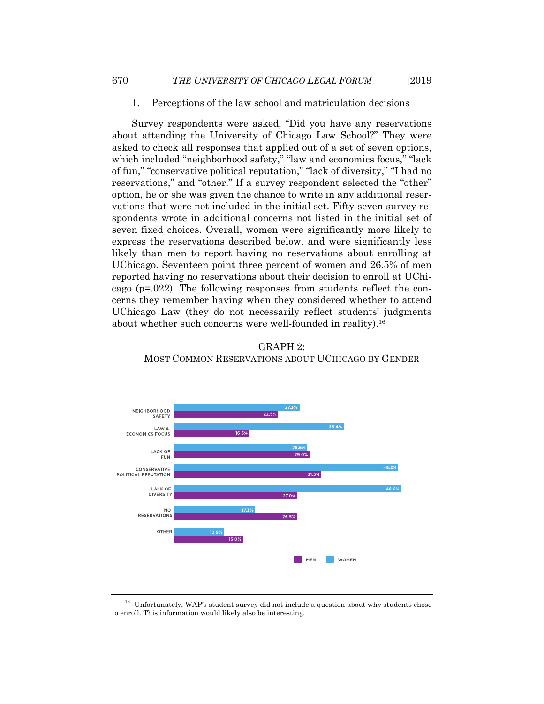#### 1. Perceptions of the law school and matriculation decisions

Survey respondents were asked, "Did you have any reservations about attending the University of Chicago Law School?" They were asked to check all responses that applied out of a set of seven options, which included "neighborhood safety," "law and economics focus," "lack of fun," "conservative political reputation," "lack of diversity," "I had no reservations," and "other." If a survey respondent selected the "other" option, he or she was given the chance to write in any additional reservations that were not included in the initial set. Fifty-seven survey respondents wrote in additional concerns not listed in the initial set of seven fixed choices. Overall, women were significantly more likely to express the reservations described below, and were significantly less likely than men to report having no reservations about enrolling at UChicago. Seventeen point three percent of women and 26.5% of men reported having no reservations about their decision to enroll at UChicago (p=.022). The following responses from students reflect the concerns they remember having when they considered whether to attend UChicago Law (they do not necessarily reflect students' judgments about whether such concerns were well-founded in reality).<sup>16</sup>



GRAPH 2: MOST COMMON RESERVATIONS ABOUT UCHICAGO BY GENDER

<sup>&</sup>lt;sup>16</sup> Unfortunately, WAP's student survey did not include a question about why students chose to enroll. This information would likely also be interesting.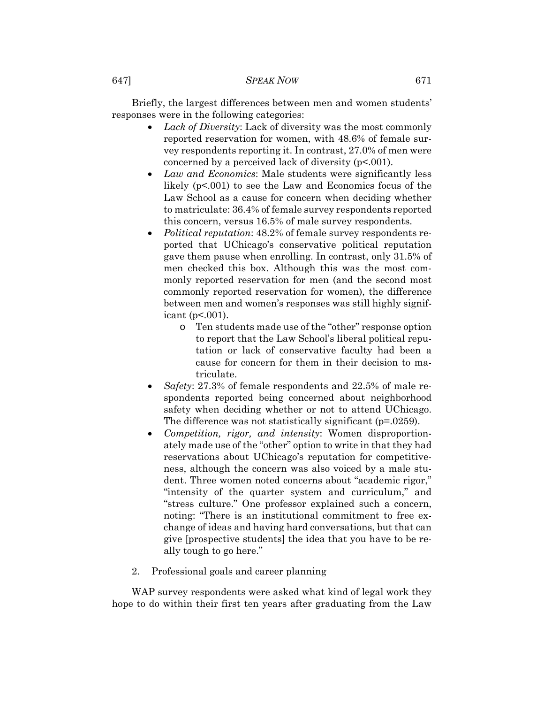Briefly, the largest differences between men and women students' responses were in the following categories:

- *Lack of Diversity*: Lack of diversity was the most commonly reported reservation for women, with 48.6% of female survey respondents reporting it. In contrast, 27.0% of men were concerned by a perceived lack of diversity (p<.001).
- *Law and Economics*: Male students were significantly less likely (p<.001) to see the Law and Economics focus of the Law School as a cause for concern when deciding whether to matriculate: 36.4% of female survey respondents reported this concern, versus 16.5% of male survey respondents.
- *Political reputation*: 48.2% of female survey respondents reported that UChicago's conservative political reputation gave them pause when enrolling. In contrast, only 31.5% of men checked this box. Although this was the most commonly reported reservation for men (and the second most commonly reported reservation for women), the difference between men and women's responses was still highly significant ( $p<001$ ).
	- o Ten students made use of the "other" response option to report that the Law School's liberal political reputation or lack of conservative faculty had been a cause for concern for them in their decision to matriculate.
- *Safety*: 27.3% of female respondents and 22.5% of male respondents reported being concerned about neighborhood safety when deciding whether or not to attend UChicago. The difference was not statistically significant (p=.0259).
- *Competition, rigor, and intensity*: Women disproportionately made use of the "other" option to write in that they had reservations about UChicago's reputation for competitiveness, although the concern was also voiced by a male student. Three women noted concerns about "academic rigor," "intensity of the quarter system and curriculum," and "stress culture." One professor explained such a concern, noting: "There is an institutional commitment to free exchange of ideas and having hard conversations, but that can give [prospective students] the idea that you have to be really tough to go here."
- 2. Professional goals and career planning

WAP survey respondents were asked what kind of legal work they hope to do within their first ten years after graduating from the Law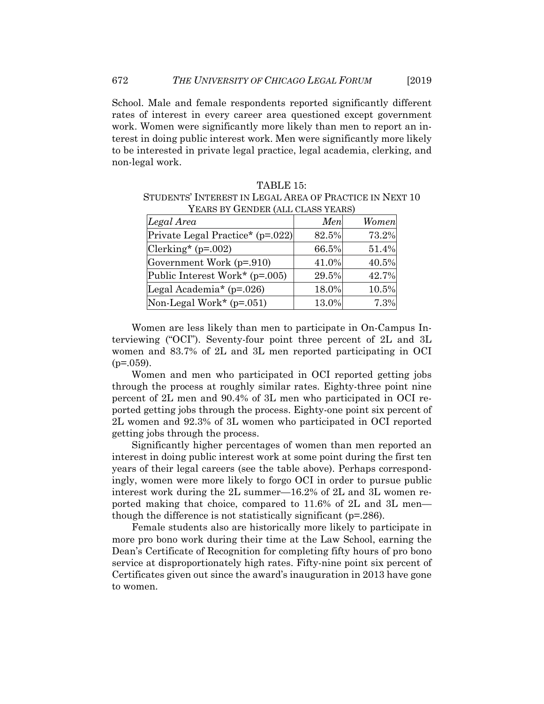School. Male and female respondents reported significantly different rates of interest in every career area questioned except government work. Women were significantly more likely than men to report an interest in doing public interest work. Men were significantly more likely to be interested in private legal practice, legal academia, clerking, and non-legal work.

| YEARS BY GENDER (ALL CLASS YEARS)        |       |       |  |
|------------------------------------------|-------|-------|--|
| Legal Area                               | Men   | Women |  |
| Private Legal Practice* (p=.022)         | 82.5% | 73.2% |  |
| $Clerking*(p=.002)$                      | 66.5% | 51.4% |  |
| Government Work (p=.910)                 | 41.0% | 40.5% |  |
| Public Interest Work* (p=.005)           | 29.5% | 42.7% |  |
| Legal Academia <sup>*</sup> ( $p=.026$ ) | 18.0% | 10.5% |  |
| Non-Legal Work* $(p=0.051)$              | 13.0% | 7.3%  |  |

STUDENTS' INTEREST IN LEGAL AREA OF PRACTICE IN NEXT 10 YEARS BY GENDER (ALL CLASS YEARS)

TABLE 15:

Women are less likely than men to participate in On-Campus Interviewing ("OCI"). Seventy-four point three percent of 2L and 3L women and 83.7% of 2L and 3L men reported participating in OCI  $(p=.059)$ .

Women and men who participated in OCI reported getting jobs through the process at roughly similar rates. Eighty-three point nine percent of 2L men and 90.4% of 3L men who participated in OCI reported getting jobs through the process. Eighty-one point six percent of 2L women and 92.3% of 3L women who participated in OCI reported getting jobs through the process.

Significantly higher percentages of women than men reported an interest in doing public interest work at some point during the first ten years of their legal careers (see the table above). Perhaps correspondingly, women were more likely to forgo OCI in order to pursue public interest work during the 2L summer—16.2% of 2L and 3L women reported making that choice, compared to 11.6% of 2L and 3L men though the difference is not statistically significant (p=.286).

Female students also are historically more likely to participate in more pro bono work during their time at the Law School, earning the Dean's Certificate of Recognition for completing fifty hours of pro bono service at disproportionately high rates. Fifty-nine point six percent of Certificates given out since the award's inauguration in 2013 have gone to women.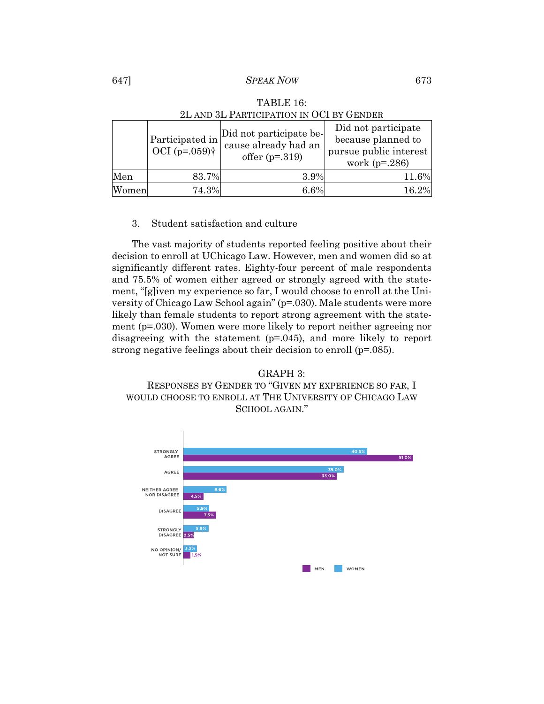## 647] *SPEAK NOW* 673

|       | Participated in<br>OCI $(p=.059)$ † | Did not participate be-<br>cause already had an<br>offer $(p=.319)$ | Did not participate<br>because planned to<br>pursue public interest<br>work $(p=.286)$ |
|-------|-------------------------------------|---------------------------------------------------------------------|----------------------------------------------------------------------------------------|
| Men   | 83.7%                               | 3.9%                                                                | 11.6%                                                                                  |
| Women | 74.3%                               | 6.6%                                                                | 16.2%                                                                                  |

## TABLE 16: 2L AND 3L PARTICIPATION IN OCI BY GENDER

## 3. Student satisfaction and culture

The vast majority of students reported feeling positive about their decision to enroll at UChicago Law. However, men and women did so at significantly different rates. Eighty-four percent of male respondents and 75.5% of women either agreed or strongly agreed with the statement, "[g]iven my experience so far, I would choose to enroll at the University of Chicago Law School again" (p=.030). Male students were more likely than female students to report strong agreement with the statement (p=.030). Women were more likely to report neither agreeing nor disagreeing with the statement (p=.045), and more likely to report strong negative feelings about their decision to enroll (p=.085).

## GRAPH 3: RESPONSES BY GENDER TO "GIVEN MY EXPERIENCE SO FAR, I WOULD CHOOSE TO ENROLL AT THE UNIVERSITY OF CHICAGO LAW SCHOOL AGAIN."

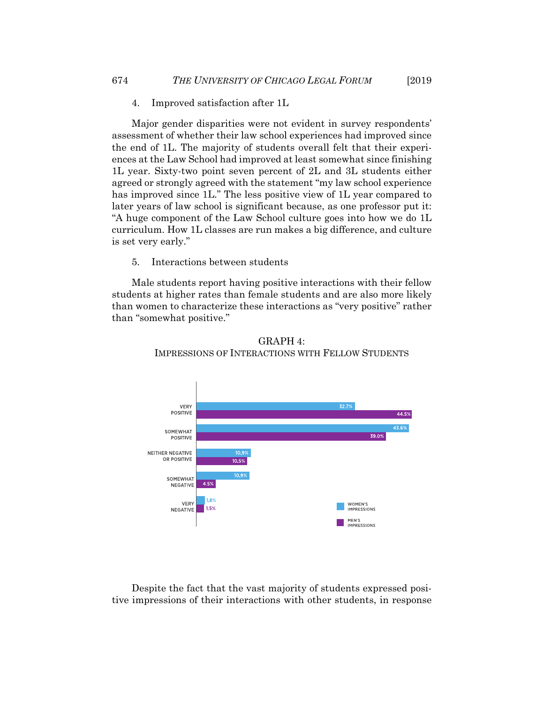4. Improved satisfaction after 1L

Major gender disparities were not evident in survey respondents' assessment of whether their law school experiences had improved since the end of 1L. The majority of students overall felt that their experiences at the Law School had improved at least somewhat since finishing 1L year. Sixty-two point seven percent of 2L and 3L students either agreed or strongly agreed with the statement "my law school experience has improved since 1L." The less positive view of 1L year compared to later years of law school is significant because, as one professor put it: "A huge component of the Law School culture goes into how we do 1L curriculum. How 1L classes are run makes a big difference, and culture is set very early."

5. Interactions between students

Male students report having positive interactions with their fellow students at higher rates than female students and are also more likely than women to characterize these interactions as "very positive" rather than "somewhat positive."





Despite the fact that the vast majority of students expressed positive impressions of their interactions with other students, in response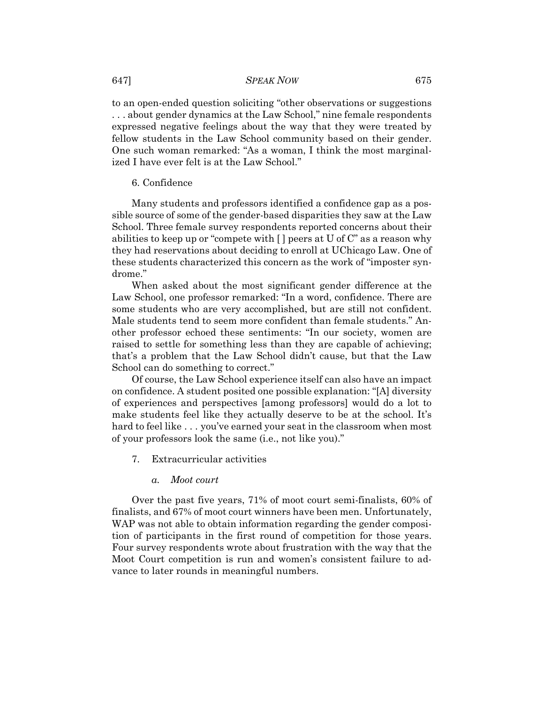to an open-ended question soliciting "other observations or suggestions . . . about gender dynamics at the Law School," nine female respondents expressed negative feelings about the way that they were treated by fellow students in the Law School community based on their gender. One such woman remarked: "As a woman, I think the most marginalized I have ever felt is at the Law School."

#### 6. Confidence

Many students and professors identified a confidence gap as a possible source of some of the gender-based disparities they saw at the Law School. Three female survey respondents reported concerns about their abilities to keep up or "compete with  $\lceil \cdot \rceil$  peers at U of C" as a reason why they had reservations about deciding to enroll at UChicago Law. One of these students characterized this concern as the work of "imposter syndrome."

When asked about the most significant gender difference at the Law School, one professor remarked: "In a word, confidence. There are some students who are very accomplished, but are still not confident. Male students tend to seem more confident than female students." Another professor echoed these sentiments: "In our society, women are raised to settle for something less than they are capable of achieving; that's a problem that the Law School didn't cause, but that the Law School can do something to correct."

Of course, the Law School experience itself can also have an impact on confidence. A student posited one possible explanation: "[A] diversity of experiences and perspectives [among professors] would do a lot to make students feel like they actually deserve to be at the school. It's hard to feel like . . . you've earned your seat in the classroom when most of your professors look the same (i.e., not like you)."

7. Extracurricular activities

#### *a. Moot court*

Over the past five years, 71% of moot court semi-finalists, 60% of finalists, and 67% of moot court winners have been men. Unfortunately, WAP was not able to obtain information regarding the gender composition of participants in the first round of competition for those years. Four survey respondents wrote about frustration with the way that the Moot Court competition is run and women's consistent failure to advance to later rounds in meaningful numbers.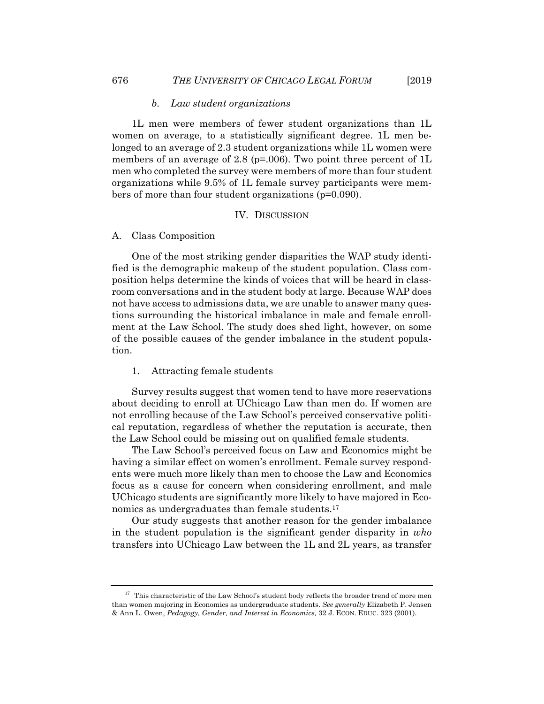#### *b. Law student organizations*

1L men were members of fewer student organizations than 1L women on average, to a statistically significant degree. 1L men belonged to an average of 2.3 student organizations while 1L women were members of an average of 2.8 ( $p=0.006$ ). Two point three percent of 1L men who completed the survey were members of more than four student organizations while 9.5% of 1L female survey participants were members of more than four student organizations (p=0.090).

## IV. DISCUSSION

A. Class Composition

One of the most striking gender disparities the WAP study identified is the demographic makeup of the student population. Class composition helps determine the kinds of voices that will be heard in classroom conversations and in the student body at large. Because WAP does not have access to admissions data, we are unable to answer many questions surrounding the historical imbalance in male and female enrollment at the Law School. The study does shed light, however, on some of the possible causes of the gender imbalance in the student population.

#### 1. Attracting female students

Survey results suggest that women tend to have more reservations about deciding to enroll at UChicago Law than men do. If women are not enrolling because of the Law School's perceived conservative political reputation, regardless of whether the reputation is accurate, then the Law School could be missing out on qualified female students.

The Law School's perceived focus on Law and Economics might be having a similar effect on women's enrollment. Female survey respondents were much more likely than men to choose the Law and Economics focus as a cause for concern when considering enrollment, and male UChicago students are significantly more likely to have majored in Economics as undergraduates than female students.<sup>17</sup>

Our study suggests that another reason for the gender imbalance in the student population is the significant gender disparity in *who* transfers into UChicago Law between the 1L and 2L years, as transfer

 $17$  This characteristic of the Law School's student body reflects the broader trend of more men than women majoring in Economics as undergraduate students. *See generally* Elizabeth P. Jensen & Ann L. Owen, *Pedagogy, Gender, and Interest in Economics,* 32 J. ECON. EDUC. 323 (2001).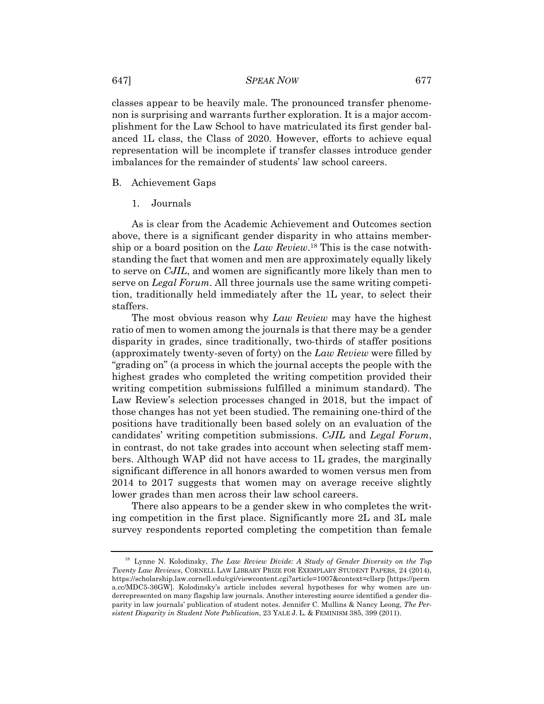## 647] *SPEAK NOW* 677

classes appear to be heavily male. The pronounced transfer phenomenon is surprising and warrants further exploration. It is a major accomplishment for the Law School to have matriculated its first gender balanced 1L class, the Class of 2020. However, efforts to achieve equal representation will be incomplete if transfer classes introduce gender imbalances for the remainder of students' law school careers.

## B. Achievement Gaps

1. Journals

As is clear from the Academic Achievement and Outcomes section above, there is a significant gender disparity in who attains membership or a board position on the *Law Review*.18 This is the case notwithstanding the fact that women and men are approximately equally likely to serve on *CJIL*, and women are significantly more likely than men to serve on *Legal Forum*. All three journals use the same writing competition, traditionally held immediately after the 1L year, to select their staffers.

The most obvious reason why *Law Review* may have the highest ratio of men to women among the journals is that there may be a gender disparity in grades, since traditionally, two-thirds of staffer positions (approximately twenty-seven of forty) on the *Law Review* were filled by "grading on" (a process in which the journal accepts the people with the highest grades who completed the writing competition provided their writing competition submissions fulfilled a minimum standard). The Law Review's selection processes changed in 2018, but the impact of those changes has not yet been studied. The remaining one-third of the positions have traditionally been based solely on an evaluation of the candidates' writing competition submissions. *CJIL* and *Legal Forum*, in contrast, do not take grades into account when selecting staff members. Although WAP did not have access to 1L grades, the marginally significant difference in all honors awarded to women versus men from 2014 to 2017 suggests that women may on average receive slightly lower grades than men across their law school careers.

There also appears to be a gender skew in who completes the writing competition in the first place. Significantly more 2L and 3L male survey respondents reported completing the competition than female

<sup>18</sup> Lynne N. Kolodinsky, *The Law Review Divide: A Study of Gender Diversity on the Top Twenty Law Reviews*, CORNELL LAW LIBRARY PRIZE FOR EXEMPLARY STUDENT PAPERS, 24 (2014), https://scholarship.law.cornell.edu/cgi/viewcontent.cgi?article=1007&context=cllsrp [https://perm a.cc/MDC5-36GW]. Kolodinsky's article includes several hypotheses for why women are underrepresented on many flagship law journals. Another interesting source identified a gender disparity in law journals' publication of student notes. Jennifer C. Mullins & Nancy Leong, *The Persistent Disparity in Student Note Publication*, 23 YALE J. L. & FEMINISM 385, 399 (2011).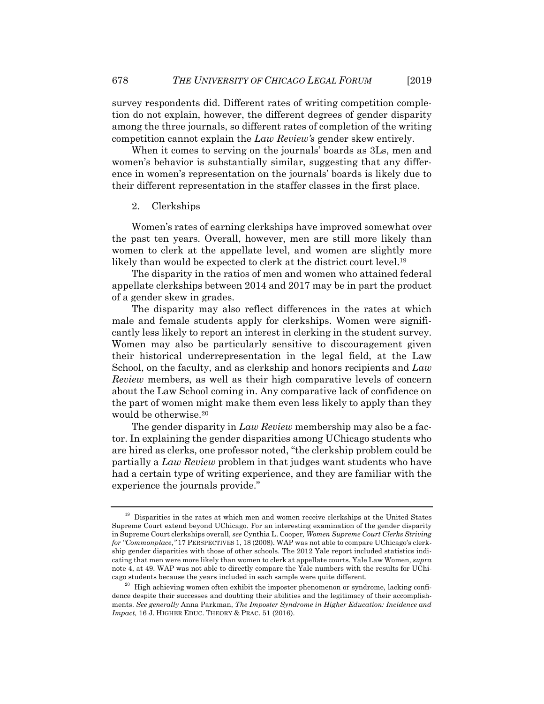survey respondents did. Different rates of writing competition completion do not explain, however, the different degrees of gender disparity among the three journals, so different rates of completion of the writing competition cannot explain the *Law Review's* gender skew entirely.

When it comes to serving on the journals' boards as 3Ls, men and women's behavior is substantially similar, suggesting that any difference in women's representation on the journals' boards is likely due to their different representation in the staffer classes in the first place.

#### 2. Clerkships

Women's rates of earning clerkships have improved somewhat over the past ten years. Overall, however, men are still more likely than women to clerk at the appellate level, and women are slightly more likely than would be expected to clerk at the district court level.<sup>19</sup>

The disparity in the ratios of men and women who attained federal appellate clerkships between 2014 and 2017 may be in part the product of a gender skew in grades.

The disparity may also reflect differences in the rates at which male and female students apply for clerkships. Women were significantly less likely to report an interest in clerking in the student survey. Women may also be particularly sensitive to discouragement given their historical underrepresentation in the legal field, at the Law School, on the faculty, and as clerkship and honors recipients and *Law Review* members, as well as their high comparative levels of concern about the Law School coming in. Any comparative lack of confidence on the part of women might make them even less likely to apply than they would be otherwise.20

The gender disparity in *Law Review* membership may also be a factor. In explaining the gender disparities among UChicago students who are hired as clerks, one professor noted, "the clerkship problem could be partially a *Law Review* problem in that judges want students who have had a certain type of writing experience, and they are familiar with the experience the journals provide."

<sup>&</sup>lt;sup>19</sup> Disparities in the rates at which men and women receive clerkships at the United States Supreme Court extend beyond UChicago. For an interesting examination of the gender disparity in Supreme Court clerkships overall, *see* Cynthia L. Cooper*, Women Supreme Court Clerks Striving for "Commonplace*,*"* 17 PERSPECTIVES 1, 18 (2008). WAP was not able to compare UChicago's clerkship gender disparities with those of other schools. The 2012 Yale report included statistics indicating that men were more likely than women to clerk at appellate courts. Yale Law Women, *supra*  note 4, at 49. WAP was not able to directly compare the Yale numbers with the results for UChicago students because the years included in each sample were quite different. 20 High achieving women often exhibit the imposter phenomenon or syndrome, lacking confi-

dence despite their successes and doubting their abilities and the legitimacy of their accomplishments. *See generally* Anna Parkman, *The Imposter Syndrome in Higher Education: Incidence and Impact,* 16 J. HIGHER EDUC. THEORY & PRAC. 51 (2016).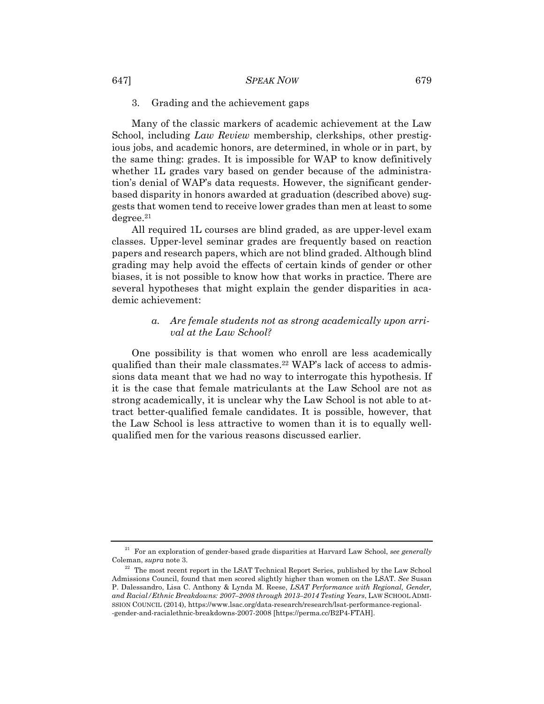#### 3. Grading and the achievement gaps

Many of the classic markers of academic achievement at the Law School, including *Law Review* membership, clerkships, other prestigious jobs, and academic honors, are determined, in whole or in part, by the same thing: grades. It is impossible for WAP to know definitively whether 1L grades vary based on gender because of the administration's denial of WAP's data requests. However, the significant genderbased disparity in honors awarded at graduation (described above) suggests that women tend to receive lower grades than men at least to some  $degree.$ <sup>21</sup>

All required 1L courses are blind graded, as are upper-level exam classes. Upper-level seminar grades are frequently based on reaction papers and research papers, which are not blind graded. Although blind grading may help avoid the effects of certain kinds of gender or other biases, it is not possible to know how that works in practice. There are several hypotheses that might explain the gender disparities in academic achievement:

## *a. Are female students not as strong academically upon arrival at the Law School?*

One possibility is that women who enroll are less academically qualified than their male classmates.<sup>22</sup> WAP's lack of access to admissions data meant that we had no way to interrogate this hypothesis. If it is the case that female matriculants at the Law School are not as strong academically, it is unclear why the Law School is not able to attract better-qualified female candidates. It is possible, however, that the Law School is less attractive to women than it is to equally wellqualified men for the various reasons discussed earlier.

<sup>21</sup> For an exploration of gender-based grade disparities at Harvard Law School, *see generally* Coleman, *supra* note 3. 22 The most recent report in the LSAT Technical Report Series, published by the Law School

Admissions Council, found that men scored slightly higher than women on the LSAT. *See* Susan P. Dalessandro, Lisa C. Anthony & Lynda M. Reese, *LSAT Performance with Regional, Gender, and Racial/Ethnic Breakdowns: 2007–2008 through 2013–2014 Testing Years*, LAW SCHOOL ADMI-SSION COUNCIL (2014), https://www.lsac.org/data-research/research/lsat-performance-regional- -gender-and-racialethnic-breakdowns-2007-2008 [https://perma.cc/B2P4-FTAH].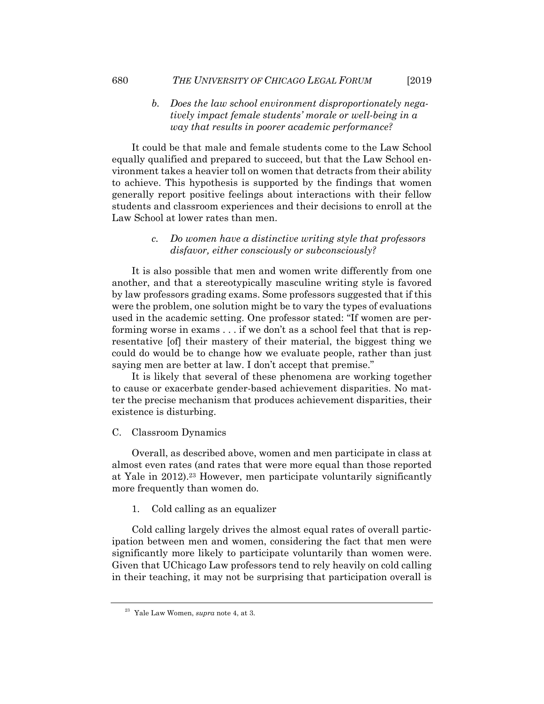## *b. Does the law school environment disproportionately negatively impact female students' morale or well-being in a way that results in poorer academic performance?*

It could be that male and female students come to the Law School equally qualified and prepared to succeed, but that the Law School environment takes a heavier toll on women that detracts from their ability to achieve. This hypothesis is supported by the findings that women generally report positive feelings about interactions with their fellow students and classroom experiences and their decisions to enroll at the Law School at lower rates than men.

## *c. Do women have a distinctive writing style that professors disfavor, either consciously or subconsciously?*

It is also possible that men and women write differently from one another, and that a stereotypically masculine writing style is favored by law professors grading exams. Some professors suggested that if this were the problem, one solution might be to vary the types of evaluations used in the academic setting. One professor stated: "If women are performing worse in exams . . . if we don't as a school feel that that is representative [of] their mastery of their material, the biggest thing we could do would be to change how we evaluate people, rather than just saying men are better at law. I don't accept that premise."

It is likely that several of these phenomena are working together to cause or exacerbate gender-based achievement disparities. No matter the precise mechanism that produces achievement disparities, their existence is disturbing.

## C. Classroom Dynamics

Overall, as described above, women and men participate in class at almost even rates (and rates that were more equal than those reported at Yale in  $2012$ <sup>23</sup> However, men participate voluntarily significantly more frequently than women do.

#### 1. Cold calling as an equalizer

Cold calling largely drives the almost equal rates of overall participation between men and women, considering the fact that men were significantly more likely to participate voluntarily than women were. Given that UChicago Law professors tend to rely heavily on cold calling in their teaching, it may not be surprising that participation overall is

<sup>23</sup> Yale Law Women, *supra* note 4, at 3.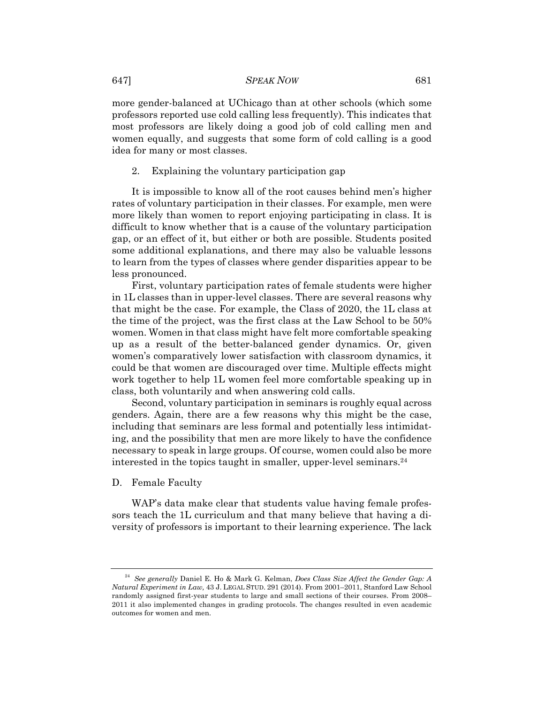more gender-balanced at UChicago than at other schools (which some professors reported use cold calling less frequently). This indicates that most professors are likely doing a good job of cold calling men and women equally, and suggests that some form of cold calling is a good idea for many or most classes.

#### 2. Explaining the voluntary participation gap

It is impossible to know all of the root causes behind men's higher rates of voluntary participation in their classes. For example, men were more likely than women to report enjoying participating in class. It is difficult to know whether that is a cause of the voluntary participation gap, or an effect of it, but either or both are possible. Students posited some additional explanations, and there may also be valuable lessons to learn from the types of classes where gender disparities appear to be less pronounced.

First, voluntary participation rates of female students were higher in 1L classes than in upper-level classes. There are several reasons why that might be the case. For example, the Class of 2020, the 1L class at the time of the project, was the first class at the Law School to be 50% women. Women in that class might have felt more comfortable speaking up as a result of the better-balanced gender dynamics. Or, given women's comparatively lower satisfaction with classroom dynamics, it could be that women are discouraged over time. Multiple effects might work together to help 1L women feel more comfortable speaking up in class, both voluntarily and when answering cold calls.

Second, voluntary participation in seminars is roughly equal across genders. Again, there are a few reasons why this might be the case, including that seminars are less formal and potentially less intimidating, and the possibility that men are more likely to have the confidence necessary to speak in large groups. Of course, women could also be more interested in the topics taught in smaller, upper-level seminars.<sup>24</sup>

#### D. Female Faculty

WAP's data make clear that students value having female professors teach the 1L curriculum and that many believe that having a diversity of professors is important to their learning experience. The lack

<sup>24</sup> *See generally* Daniel E. Ho & Mark G. Kelman, *Does Class Size Affect the Gender Gap: A Natural Experiment in Law,* 43 J. LEGAL STUD. 291 (2014). From 2001–2011, Stanford Law School randomly assigned first-year students to large and small sections of their courses. From 2008– 2011 it also implemented changes in grading protocols. The changes resulted in even academic outcomes for women and men.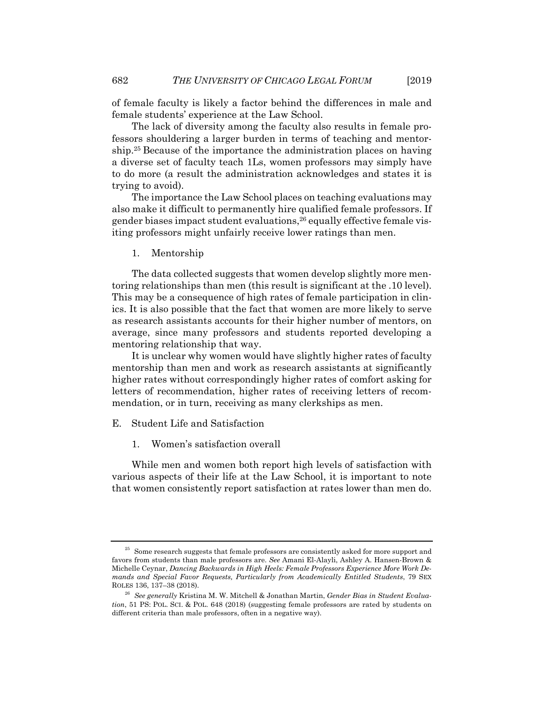of female faculty is likely a factor behind the differences in male and female students' experience at the Law School.

The lack of diversity among the faculty also results in female professors shouldering a larger burden in terms of teaching and mentorship.25 Because of the importance the administration places on having a diverse set of faculty teach 1Ls, women professors may simply have to do more (a result the administration acknowledges and states it is trying to avoid).

The importance the Law School places on teaching evaluations may also make it difficult to permanently hire qualified female professors. If gender biases impact student evaluations,26 equally effective female visiting professors might unfairly receive lower ratings than men.

1. Mentorship

The data collected suggests that women develop slightly more mentoring relationships than men (this result is significant at the .10 level). This may be a consequence of high rates of female participation in clinics. It is also possible that the fact that women are more likely to serve as research assistants accounts for their higher number of mentors, on average, since many professors and students reported developing a mentoring relationship that way.

It is unclear why women would have slightly higher rates of faculty mentorship than men and work as research assistants at significantly higher rates without correspondingly higher rates of comfort asking for letters of recommendation, higher rates of receiving letters of recommendation, or in turn, receiving as many clerkships as men.

- E. Student Life and Satisfaction
	- 1. Women's satisfaction overall

While men and women both report high levels of satisfaction with various aspects of their life at the Law School, it is important to note that women consistently report satisfaction at rates lower than men do.

 $^{25}\,$  Some research suggests that female professors are consistently asked for more support and favors from students than male professors are. *See* Amani El-Alayli, Ashley A. Hansen-Brown & Michelle Ceynar, *Dancing Backwards in High Heels: Female Professors Experience More Work De*mands and Special Favor Requests, Particularly from Academically Entitled Students, 79 SEX<br>ROLES 136, 137–38 (2018).

<sup>&</sup>lt;sup>26</sup> See generally Kristina M. W. Mitchell & Jonathan Martin, *Gender Bias in Student Evaluation*, 51 PS: POL. SCI. & POL. 648 (2018) (suggesting female professors are rated by students on different criteria than male professors, often in a negative way).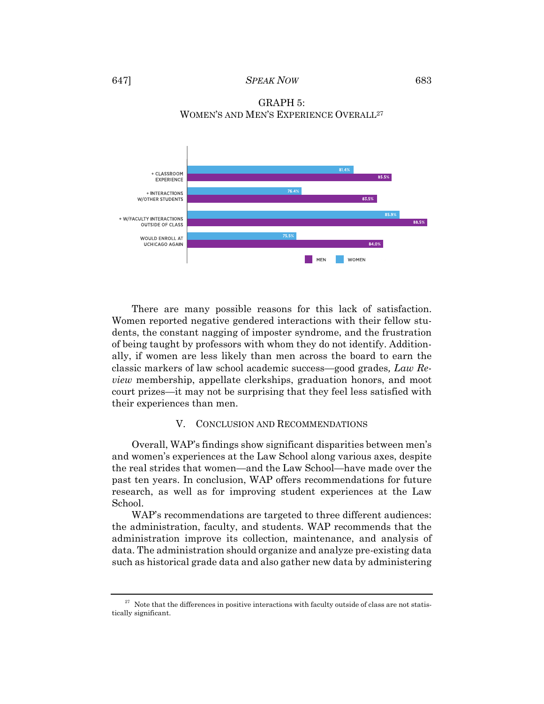

GRAPH 5: WOMEN'S AND MEN'S EXPERIENCE OVERALL27

There are many possible reasons for this lack of satisfaction. Women reported negative gendered interactions with their fellow students, the constant nagging of imposter syndrome, and the frustration of being taught by professors with whom they do not identify. Additionally, if women are less likely than men across the board to earn the classic markers of law school academic success—good grades*, Law Review* membership, appellate clerkships, graduation honors, and moot court prizes—it may not be surprising that they feel less satisfied with their experiences than men.

#### V. CONCLUSION AND RECOMMENDATIONS

Overall, WAP's findings show significant disparities between men's and women's experiences at the Law School along various axes, despite the real strides that women—and the Law School—have made over the past ten years. In conclusion, WAP offers recommendations for future research, as well as for improving student experiences at the Law School.

WAP's recommendations are targeted to three different audiences: the administration, faculty, and students. WAP recommends that the administration improve its collection, maintenance, and analysis of data. The administration should organize and analyze pre-existing data such as historical grade data and also gather new data by administering

 $27$  Note that the differences in positive interactions with faculty outside of class are not statistically significant.